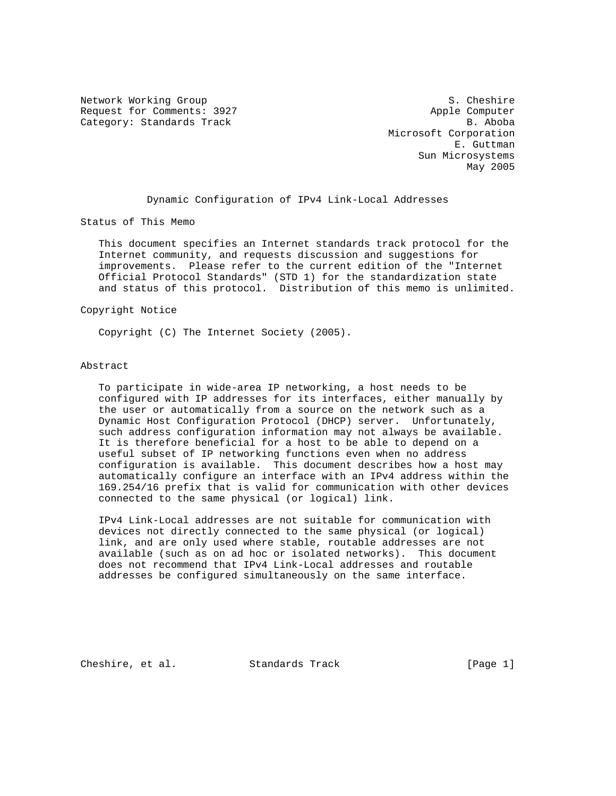Network Working Group S. Cheshire S. Cheshire Request for Comments: 3927 Apple Computer Category: Standards Track B. Aboba

 Microsoft Corporation E. Guttman Sun Microsystems May 2005

Dynamic Configuration of IPv4 Link-Local Addresses

Status of This Memo

 This document specifies an Internet standards track protocol for the Internet community, and requests discussion and suggestions for improvements. Please refer to the current edition of the "Internet Official Protocol Standards" (STD 1) for the standardization state and status of this protocol. Distribution of this memo is unlimited.

#### Copyright Notice

Copyright (C) The Internet Society (2005).

#### Abstract

 To participate in wide-area IP networking, a host needs to be configured with IP addresses for its interfaces, either manually by the user or automatically from a source on the network such as a Dynamic Host Configuration Protocol (DHCP) server. Unfortunately, such address configuration information may not always be available. It is therefore beneficial for a host to be able to depend on a useful subset of IP networking functions even when no address configuration is available. This document describes how a host may automatically configure an interface with an IPv4 address within the 169.254/16 prefix that is valid for communication with other devices connected to the same physical (or logical) link.

 IPv4 Link-Local addresses are not suitable for communication with devices not directly connected to the same physical (or logical) link, and are only used where stable, routable addresses are not available (such as on ad hoc or isolated networks). This document does not recommend that IPv4 Link-Local addresses and routable addresses be configured simultaneously on the same interface.

Cheshire, et al. Standards Track [Page 1]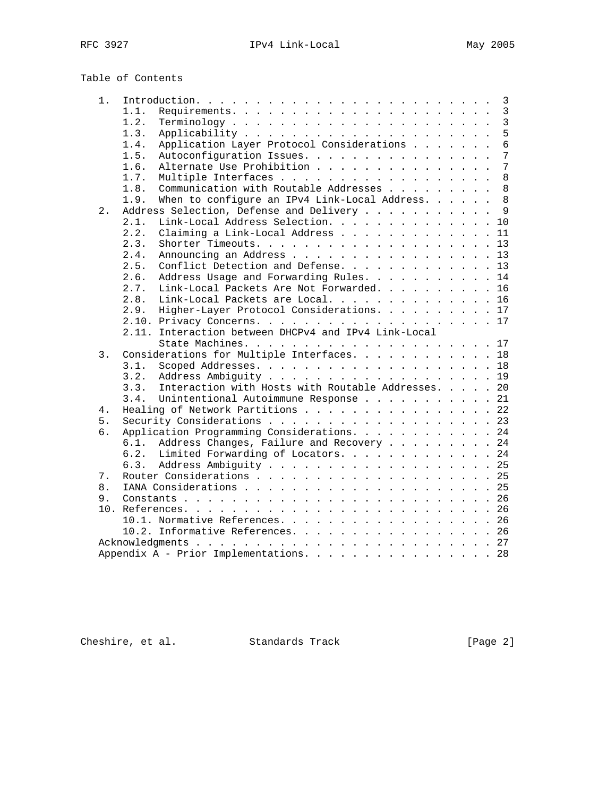# Table of Contents

| $1$ . | 3                                                                                |
|-------|----------------------------------------------------------------------------------|
|       | $\mathbf{3}$<br>1.1.                                                             |
|       | 3<br>1.2.                                                                        |
|       | 5<br>1.3.                                                                        |
|       | Application Layer Protocol Considerations<br>6<br>1.4.                           |
|       | 7<br>1.5.<br>Autoconfiguration Issues.                                           |
|       | $7\phantom{.0}$<br>Alternate Use Prohibition<br>1.6.                             |
|       | 8<br>1.7.<br>Multiple Interfaces                                                 |
|       | 1.8.<br>Communication with Routable Addresses<br>8                               |
|       | $\mathsf{R}$<br>1.9.<br>When to configure an IPv4 Link-Local Address. $\ldots$ . |
| 2.    | Address Selection, Defense and Delivery 9                                        |
|       | Link-Local Address Selection. 10<br>2.1.                                         |
|       | Claiming a Link-Local Address 11<br>2.2.                                         |
|       | 2.3.<br>Shorter Timeouts. 13                                                     |
|       | Announcing an Address 13<br>2.4.                                                 |
|       | Conflict Detection and Defense. 13<br>2.5.                                       |
|       | Address Usage and Forwarding Rules. 14<br>2.6.                                   |
|       | Link-Local Packets Are Not Forwarded. 16<br>2.7.                                 |
|       | Link-Local Packets are Local. 16<br>2.8.                                         |
|       | Higher-Layer Protocol Considerations. 17<br>2.9.                                 |
|       |                                                                                  |
|       | 2.11. Interaction between DHCPv4 and IPv4 Link-Local                             |
|       |                                                                                  |
| 3.    | Considerations for Multiple Interfaces. 18                                       |
|       | 3.1.                                                                             |
|       | 3.2.                                                                             |
|       | Interaction with Hosts with Routable Addresses. 20<br>3.3.                       |
|       | Unintentional Autoimmune Response 21<br>3.4.                                     |
| 4.    | Healing of Network Partitions 22                                                 |
| 5.    | Security Considerations 23                                                       |
| б.    |                                                                                  |
|       | Application Programming Considerations. 24                                       |
|       | Address Changes, Failure and Recovery 24<br>6.1.                                 |
|       | Limited Forwarding of Locators. 24<br>6.2.                                       |
|       | Address Ambiguity 25<br>6.3.                                                     |
| 7.    |                                                                                  |
| 8.    |                                                                                  |
| 9.    |                                                                                  |
|       |                                                                                  |
|       | 10.1. Normative References. 26                                                   |
|       | 10.2. Informative References. 26                                                 |
|       |                                                                                  |
|       | Appendix A - Prior Implementations. 28                                           |

Cheshire, et al. Standards Track [Page 2]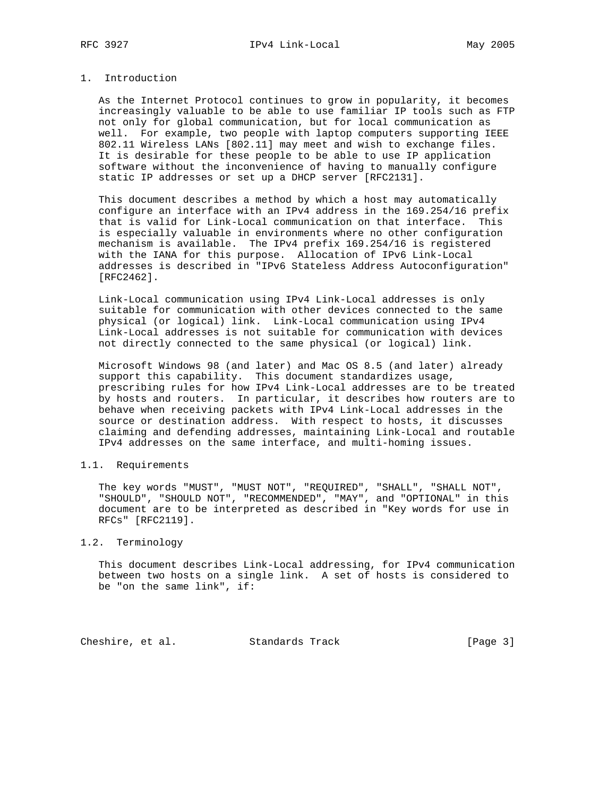# 1. Introduction

 As the Internet Protocol continues to grow in popularity, it becomes increasingly valuable to be able to use familiar IP tools such as FTP not only for global communication, but for local communication as well. For example, two people with laptop computers supporting IEEE 802.11 Wireless LANs [802.11] may meet and wish to exchange files. It is desirable for these people to be able to use IP application software without the inconvenience of having to manually configure static IP addresses or set up a DHCP server [RFC2131].

 This document describes a method by which a host may automatically configure an interface with an IPv4 address in the 169.254/16 prefix that is valid for Link-Local communication on that interface. This is especially valuable in environments where no other configuration mechanism is available. The IPv4 prefix 169.254/16 is registered with the IANA for this purpose. Allocation of IPv6 Link-Local addresses is described in "IPv6 Stateless Address Autoconfiguration" [RFC2462].

 Link-Local communication using IPv4 Link-Local addresses is only suitable for communication with other devices connected to the same physical (or logical) link. Link-Local communication using IPv4 Link-Local addresses is not suitable for communication with devices not directly connected to the same physical (or logical) link.

 Microsoft Windows 98 (and later) and Mac OS 8.5 (and later) already support this capability. This document standardizes usage, prescribing rules for how IPv4 Link-Local addresses are to be treated by hosts and routers. In particular, it describes how routers are to behave when receiving packets with IPv4 Link-Local addresses in the source or destination address. With respect to hosts, it discusses claiming and defending addresses, maintaining Link-Local and routable IPv4 addresses on the same interface, and multi-homing issues.

## 1.1. Requirements

 The key words "MUST", "MUST NOT", "REQUIRED", "SHALL", "SHALL NOT", "SHOULD", "SHOULD NOT", "RECOMMENDED", "MAY", and "OPTIONAL" in this document are to be interpreted as described in "Key words for use in RFCs" [RFC2119].

## 1.2. Terminology

 This document describes Link-Local addressing, for IPv4 communication between two hosts on a single link. A set of hosts is considered to be "on the same link", if:

Cheshire, et al. Standards Track [Page 3]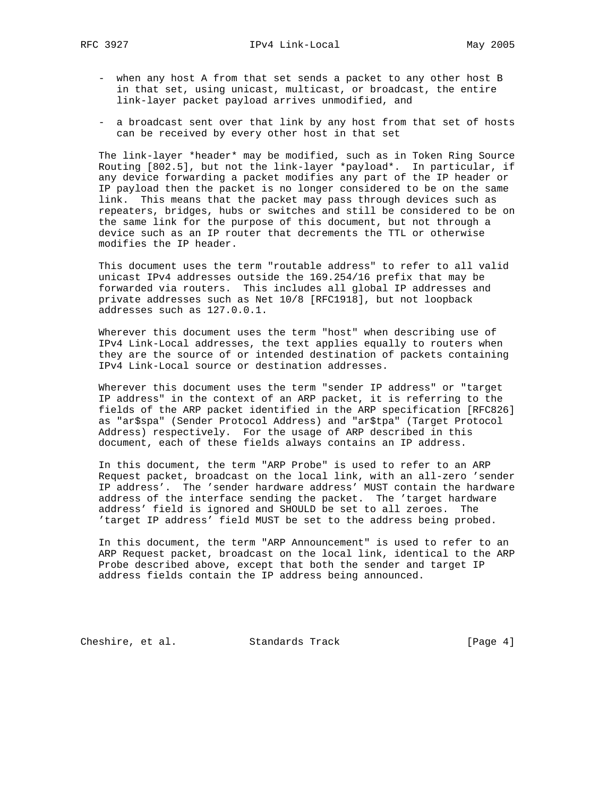- when any host A from that set sends a packet to any other host B in that set, using unicast, multicast, or broadcast, the entire link-layer packet payload arrives unmodified, and
- a broadcast sent over that link by any host from that set of hosts can be received by every other host in that set

 The link-layer \*header\* may be modified, such as in Token Ring Source Routing [802.5], but not the link-layer \*payload\*. In particular, if any device forwarding a packet modifies any part of the IP header or IP payload then the packet is no longer considered to be on the same link. This means that the packet may pass through devices such as repeaters, bridges, hubs or switches and still be considered to be on the same link for the purpose of this document, but not through a device such as an IP router that decrements the TTL or otherwise modifies the IP header.

 This document uses the term "routable address" to refer to all valid unicast IPv4 addresses outside the 169.254/16 prefix that may be forwarded via routers. This includes all global IP addresses and private addresses such as Net 10/8 [RFC1918], but not loopback addresses such as 127.0.0.1.

 Wherever this document uses the term "host" when describing use of IPv4 Link-Local addresses, the text applies equally to routers when they are the source of or intended destination of packets containing IPv4 Link-Local source or destination addresses.

 Wherever this document uses the term "sender IP address" or "target IP address" in the context of an ARP packet, it is referring to the fields of the ARP packet identified in the ARP specification [RFC826] as "ar\$spa" (Sender Protocol Address) and "ar\$tpa" (Target Protocol Address) respectively. For the usage of ARP described in this document, each of these fields always contains an IP address.

 In this document, the term "ARP Probe" is used to refer to an ARP Request packet, broadcast on the local link, with an all-zero 'sender IP address'. The 'sender hardware address' MUST contain the hardware address of the interface sending the packet. The 'target hardware address' field is ignored and SHOULD be set to all zeroes. The 'target IP address' field MUST be set to the address being probed.

 In this document, the term "ARP Announcement" is used to refer to an ARP Request packet, broadcast on the local link, identical to the ARP Probe described above, except that both the sender and target IP address fields contain the IP address being announced.

Cheshire, et al. Standards Track [Page 4]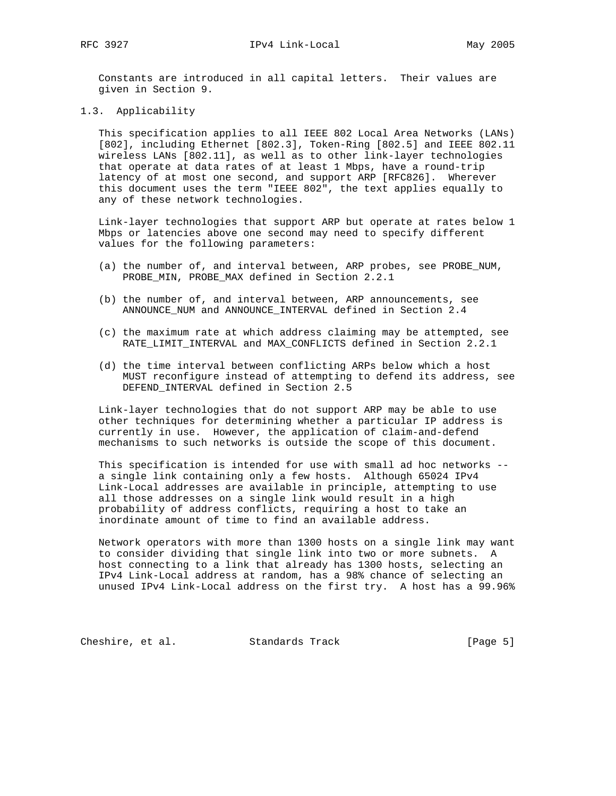Constants are introduced in all capital letters. Their values are given in Section 9.

1.3. Applicability

 This specification applies to all IEEE 802 Local Area Networks (LANs) [802], including Ethernet [802.3], Token-Ring [802.5] and IEEE 802.11 wireless LANs [802.11], as well as to other link-layer technologies that operate at data rates of at least 1 Mbps, have a round-trip latency of at most one second, and support ARP [RFC826]. Wherever this document uses the term "IEEE 802", the text applies equally to any of these network technologies.

 Link-layer technologies that support ARP but operate at rates below 1 Mbps or latencies above one second may need to specify different values for the following parameters:

- (a) the number of, and interval between, ARP probes, see PROBE\_NUM, PROBE\_MIN, PROBE\_MAX defined in Section 2.2.1
- (b) the number of, and interval between, ARP announcements, see ANNOUNCE\_NUM and ANNOUNCE\_INTERVAL defined in Section 2.4
- (c) the maximum rate at which address claiming may be attempted, see RATE\_LIMIT\_INTERVAL and MAX\_CONFLICTS defined in Section 2.2.1
- (d) the time interval between conflicting ARPs below which a host MUST reconfigure instead of attempting to defend its address, see DEFEND\_INTERVAL defined in Section 2.5

 Link-layer technologies that do not support ARP may be able to use other techniques for determining whether a particular IP address is currently in use. However, the application of claim-and-defend mechanisms to such networks is outside the scope of this document.

 This specification is intended for use with small ad hoc networks - a single link containing only a few hosts. Although 65024 IPv4 Link-Local addresses are available in principle, attempting to use all those addresses on a single link would result in a high probability of address conflicts, requiring a host to take an inordinate amount of time to find an available address.

 Network operators with more than 1300 hosts on a single link may want to consider dividing that single link into two or more subnets. A host connecting to a link that already has 1300 hosts, selecting an IPv4 Link-Local address at random, has a 98% chance of selecting an unused IPv4 Link-Local address on the first try. A host has a 99.96%

Cheshire, et al. Standards Track [Page 5]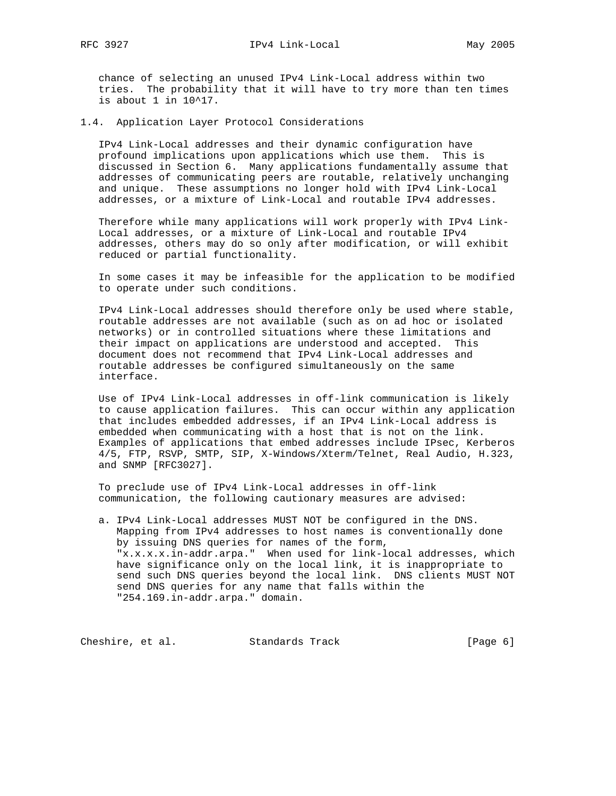chance of selecting an unused IPv4 Link-Local address within two tries. The probability that it will have to try more than ten times is about 1 in 10^17.

1.4. Application Layer Protocol Considerations

 IPv4 Link-Local addresses and their dynamic configuration have profound implications upon applications which use them. This is discussed in Section 6. Many applications fundamentally assume that addresses of communicating peers are routable, relatively unchanging and unique. These assumptions no longer hold with IPv4 Link-Local addresses, or a mixture of Link-Local and routable IPv4 addresses.

 Therefore while many applications will work properly with IPv4 Link- Local addresses, or a mixture of Link-Local and routable IPv4 addresses, others may do so only after modification, or will exhibit reduced or partial functionality.

 In some cases it may be infeasible for the application to be modified to operate under such conditions.

 IPv4 Link-Local addresses should therefore only be used where stable, routable addresses are not available (such as on ad hoc or isolated networks) or in controlled situations where these limitations and their impact on applications are understood and accepted. This document does not recommend that IPv4 Link-Local addresses and routable addresses be configured simultaneously on the same interface.

 Use of IPv4 Link-Local addresses in off-link communication is likely to cause application failures. This can occur within any application that includes embedded addresses, if an IPv4 Link-Local address is embedded when communicating with a host that is not on the link. Examples of applications that embed addresses include IPsec, Kerberos 4/5, FTP, RSVP, SMTP, SIP, X-Windows/Xterm/Telnet, Real Audio, H.323, and SNMP [RFC3027].

 To preclude use of IPv4 Link-Local addresses in off-link communication, the following cautionary measures are advised:

 a. IPv4 Link-Local addresses MUST NOT be configured in the DNS. Mapping from IPv4 addresses to host names is conventionally done by issuing DNS queries for names of the form, "x.x.x.x.in-addr.arpa." When used for link-local addresses, which have significance only on the local link, it is inappropriate to send such DNS queries beyond the local link. DNS clients MUST NOT send DNS queries for any name that falls within the "254.169.in-addr.arpa." domain.

Cheshire, et al. Standards Track [Page 6]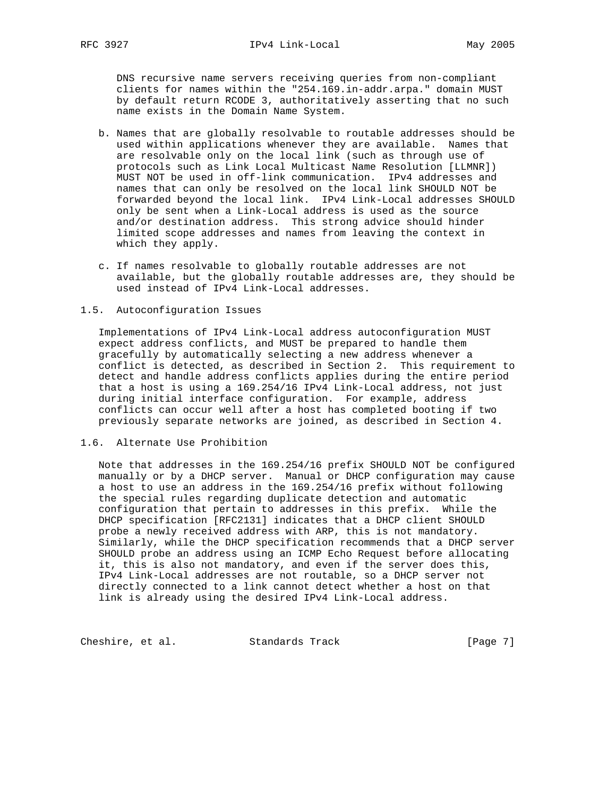DNS recursive name servers receiving queries from non-compliant clients for names within the "254.169.in-addr.arpa." domain MUST by default return RCODE 3, authoritatively asserting that no such name exists in the Domain Name System.

- b. Names that are globally resolvable to routable addresses should be used within applications whenever they are available. Names that are resolvable only on the local link (such as through use of protocols such as Link Local Multicast Name Resolution [LLMNR]) MUST NOT be used in off-link communication. IPv4 addresses and names that can only be resolved on the local link SHOULD NOT be forwarded beyond the local link. IPv4 Link-Local addresses SHOULD only be sent when a Link-Local address is used as the source and/or destination address. This strong advice should hinder limited scope addresses and names from leaving the context in which they apply.
- c. If names resolvable to globally routable addresses are not available, but the globally routable addresses are, they should be used instead of IPv4 Link-Local addresses.

#### 1.5. Autoconfiguration Issues

 Implementations of IPv4 Link-Local address autoconfiguration MUST expect address conflicts, and MUST be prepared to handle them gracefully by automatically selecting a new address whenever a conflict is detected, as described in Section 2. This requirement to detect and handle address conflicts applies during the entire period that a host is using a 169.254/16 IPv4 Link-Local address, not just during initial interface configuration. For example, address conflicts can occur well after a host has completed booting if two previously separate networks are joined, as described in Section 4.

1.6. Alternate Use Prohibition

 Note that addresses in the 169.254/16 prefix SHOULD NOT be configured manually or by a DHCP server. Manual or DHCP configuration may cause a host to use an address in the 169.254/16 prefix without following the special rules regarding duplicate detection and automatic configuration that pertain to addresses in this prefix. While the DHCP specification [RFC2131] indicates that a DHCP client SHOULD probe a newly received address with ARP, this is not mandatory. Similarly, while the DHCP specification recommends that a DHCP server SHOULD probe an address using an ICMP Echo Request before allocating it, this is also not mandatory, and even if the server does this, IPv4 Link-Local addresses are not routable, so a DHCP server not directly connected to a link cannot detect whether a host on that link is already using the desired IPv4 Link-Local address.

Cheshire, et al. Standards Track [Page 7]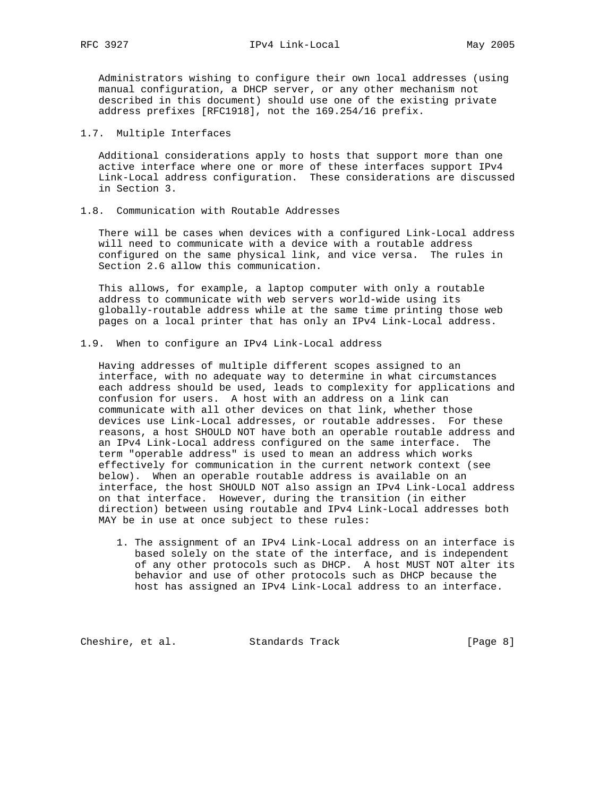Administrators wishing to configure their own local addresses (using manual configuration, a DHCP server, or any other mechanism not described in this document) should use one of the existing private address prefixes [RFC1918], not the 169.254/16 prefix.

#### 1.7. Multiple Interfaces

 Additional considerations apply to hosts that support more than one active interface where one or more of these interfaces support IPv4 Link-Local address configuration. These considerations are discussed in Section 3.

1.8. Communication with Routable Addresses

 There will be cases when devices with a configured Link-Local address will need to communicate with a device with a routable address configured on the same physical link, and vice versa. The rules in Section 2.6 allow this communication.

 This allows, for example, a laptop computer with only a routable address to communicate with web servers world-wide using its globally-routable address while at the same time printing those web pages on a local printer that has only an IPv4 Link-Local address.

1.9. When to configure an IPv4 Link-Local address

 Having addresses of multiple different scopes assigned to an interface, with no adequate way to determine in what circumstances each address should be used, leads to complexity for applications and confusion for users. A host with an address on a link can communicate with all other devices on that link, whether those devices use Link-Local addresses, or routable addresses. For these reasons, a host SHOULD NOT have both an operable routable address and an IPv4 Link-Local address configured on the same interface. The term "operable address" is used to mean an address which works effectively for communication in the current network context (see below). When an operable routable address is available on an interface, the host SHOULD NOT also assign an IPv4 Link-Local address on that interface. However, during the transition (in either direction) between using routable and IPv4 Link-Local addresses both MAY be in use at once subject to these rules:

 1. The assignment of an IPv4 Link-Local address on an interface is based solely on the state of the interface, and is independent of any other protocols such as DHCP. A host MUST NOT alter its behavior and use of other protocols such as DHCP because the host has assigned an IPv4 Link-Local address to an interface.

Cheshire, et al. Standards Track [Page 8]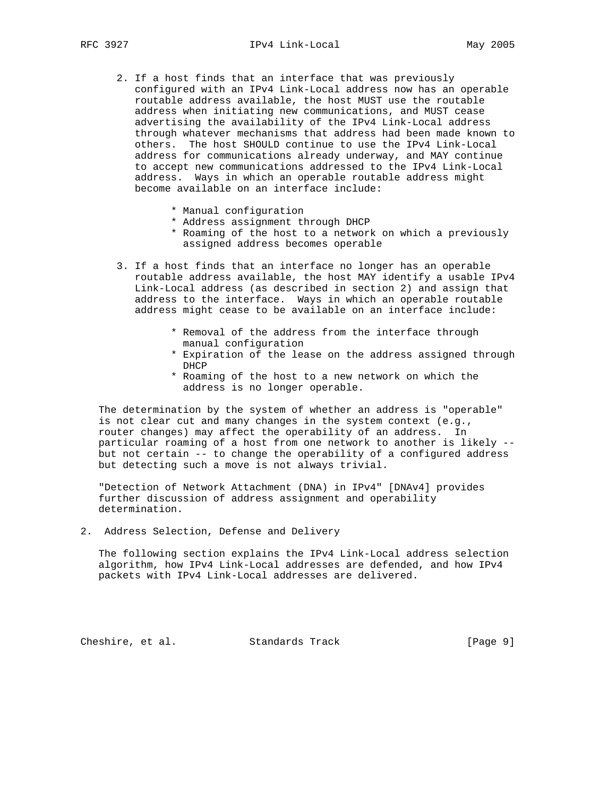- 2. If a host finds that an interface that was previously configured with an IPv4 Link-Local address now has an operable routable address available, the host MUST use the routable address when initiating new communications, and MUST cease advertising the availability of the IPv4 Link-Local address through whatever mechanisms that address had been made known to others. The host SHOULD continue to use the IPv4 Link-Local address for communications already underway, and MAY continue to accept new communications addressed to the IPv4 Link-Local address. Ways in which an operable routable address might become available on an interface include:
	- \* Manual configuration
	- \* Address assignment through DHCP
	- \* Roaming of the host to a network on which a previously assigned address becomes operable
- 3. If a host finds that an interface no longer has an operable routable address available, the host MAY identify a usable IPv4 Link-Local address (as described in section 2) and assign that address to the interface. Ways in which an operable routable address might cease to be available on an interface include:
	- \* Removal of the address from the interface through manual configuration
	- \* Expiration of the lease on the address assigned through DHCP
	- \* Roaming of the host to a new network on which the address is no longer operable.

 The determination by the system of whether an address is "operable" is not clear cut and many changes in the system context (e.g., router changes) may affect the operability of an address. In particular roaming of a host from one network to another is likely - but not certain -- to change the operability of a configured address but detecting such a move is not always trivial.

 "Detection of Network Attachment (DNA) in IPv4" [DNAv4] provides further discussion of address assignment and operability determination.

2. Address Selection, Defense and Delivery

 The following section explains the IPv4 Link-Local address selection algorithm, how IPv4 Link-Local addresses are defended, and how IPv4 packets with IPv4 Link-Local addresses are delivered.

Cheshire, et al. Standards Track [Page 9]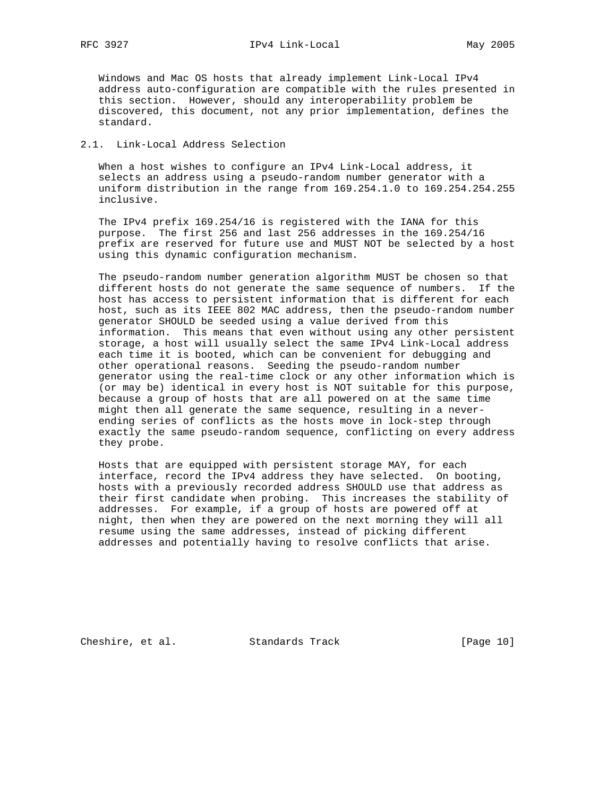RFC 3927 **IPv4** Link-Local May 2005

 Windows and Mac OS hosts that already implement Link-Local IPv4 address auto-configuration are compatible with the rules presented in this section. However, should any interoperability problem be discovered, this document, not any prior implementation, defines the standard.

## 2.1. Link-Local Address Selection

 When a host wishes to configure an IPv4 Link-Local address, it selects an address using a pseudo-random number generator with a uniform distribution in the range from 169.254.1.0 to 169.254.254.255 inclusive.

 The IPv4 prefix 169.254/16 is registered with the IANA for this purpose. The first 256 and last 256 addresses in the 169.254/16 prefix are reserved for future use and MUST NOT be selected by a host using this dynamic configuration mechanism.

 The pseudo-random number generation algorithm MUST be chosen so that different hosts do not generate the same sequence of numbers. If the host has access to persistent information that is different for each host, such as its IEEE 802 MAC address, then the pseudo-random number generator SHOULD be seeded using a value derived from this information. This means that even without using any other persistent storage, a host will usually select the same IPv4 Link-Local address each time it is booted, which can be convenient for debugging and other operational reasons. Seeding the pseudo-random number generator using the real-time clock or any other information which is (or may be) identical in every host is NOT suitable for this purpose, because a group of hosts that are all powered on at the same time might then all generate the same sequence, resulting in a never ending series of conflicts as the hosts move in lock-step through exactly the same pseudo-random sequence, conflicting on every address they probe.

 Hosts that are equipped with persistent storage MAY, for each interface, record the IPv4 address they have selected. On booting, hosts with a previously recorded address SHOULD use that address as their first candidate when probing. This increases the stability of addresses. For example, if a group of hosts are powered off at night, then when they are powered on the next morning they will all resume using the same addresses, instead of picking different addresses and potentially having to resolve conflicts that arise.

Cheshire, et al. Standards Track [Page 10]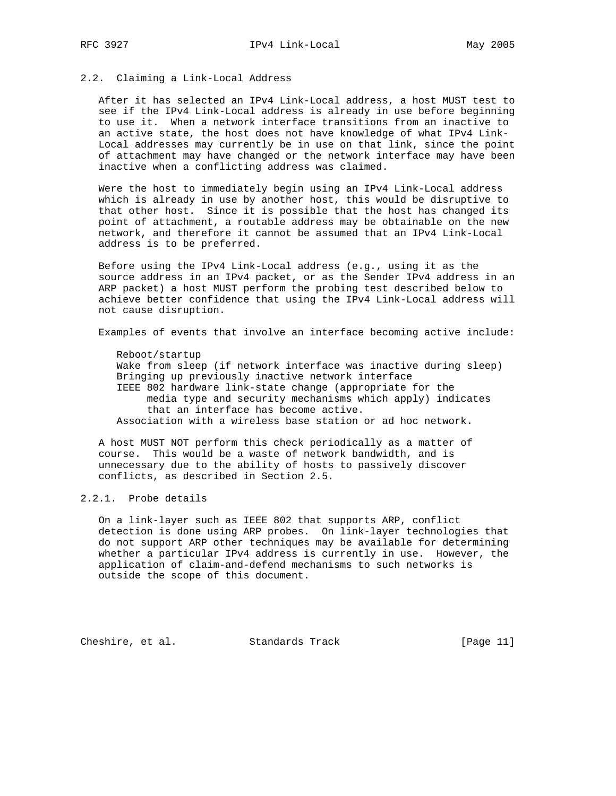## 2.2. Claiming a Link-Local Address

 After it has selected an IPv4 Link-Local address, a host MUST test to see if the IPv4 Link-Local address is already in use before beginning to use it. When a network interface transitions from an inactive to an active state, the host does not have knowledge of what IPv4 Link- Local addresses may currently be in use on that link, since the point of attachment may have changed or the network interface may have been inactive when a conflicting address was claimed.

 Were the host to immediately begin using an IPv4 Link-Local address which is already in use by another host, this would be disruptive to that other host. Since it is possible that the host has changed its point of attachment, a routable address may be obtainable on the new network, and therefore it cannot be assumed that an IPv4 Link-Local address is to be preferred.

 Before using the IPv4 Link-Local address (e.g., using it as the source address in an IPv4 packet, or as the Sender IPv4 address in an ARP packet) a host MUST perform the probing test described below to achieve better confidence that using the IPv4 Link-Local address will not cause disruption.

Examples of events that involve an interface becoming active include:

 Reboot/startup Wake from sleep (if network interface was inactive during sleep) Bringing up previously inactive network interface IEEE 802 hardware link-state change (appropriate for the media type and security mechanisms which apply) indicates that an interface has become active. Association with a wireless base station or ad hoc network.

 A host MUST NOT perform this check periodically as a matter of course. This would be a waste of network bandwidth, and is unnecessary due to the ability of hosts to passively discover conflicts, as described in Section 2.5.

# 2.2.1. Probe details

 On a link-layer such as IEEE 802 that supports ARP, conflict detection is done using ARP probes. On link-layer technologies that do not support ARP other techniques may be available for determining whether a particular IPv4 address is currently in use. However, the application of claim-and-defend mechanisms to such networks is outside the scope of this document.

Cheshire, et al. Standards Track [Page 11]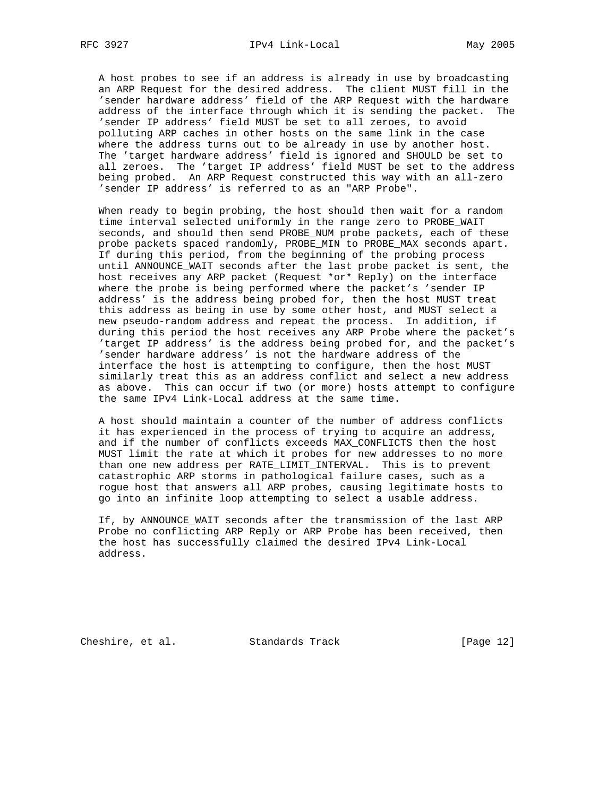A host probes to see if an address is already in use by broadcasting an ARP Request for the desired address. The client MUST fill in the 'sender hardware address' field of the ARP Request with the hardware address of the interface through which it is sending the packet. The 'sender IP address' field MUST be set to all zeroes, to avoid polluting ARP caches in other hosts on the same link in the case where the address turns out to be already in use by another host. The 'target hardware address' field is ignored and SHOULD be set to all zeroes. The 'target IP address' field MUST be set to the address being probed. An ARP Request constructed this way with an all-zero 'sender IP address' is referred to as an "ARP Probe".

 When ready to begin probing, the host should then wait for a random time interval selected uniformly in the range zero to PROBE\_WAIT seconds, and should then send PROBE\_NUM probe packets, each of these probe packets spaced randomly, PROBE\_MIN to PROBE\_MAX seconds apart. If during this period, from the beginning of the probing process until ANNOUNCE\_WAIT seconds after the last probe packet is sent, the host receives any ARP packet (Request \*or\* Reply) on the interface where the probe is being performed where the packet's 'sender IP address' is the address being probed for, then the host MUST treat this address as being in use by some other host, and MUST select a new pseudo-random address and repeat the process. In addition, if during this period the host receives any ARP Probe where the packet's 'target IP address' is the address being probed for, and the packet's 'sender hardware address' is not the hardware address of the interface the host is attempting to configure, then the host MUST similarly treat this as an address conflict and select a new address as above. This can occur if two (or more) hosts attempt to configure the same IPv4 Link-Local address at the same time.

 A host should maintain a counter of the number of address conflicts it has experienced in the process of trying to acquire an address, and if the number of conflicts exceeds MAX\_CONFLICTS then the host MUST limit the rate at which it probes for new addresses to no more than one new address per RATE\_LIMIT\_INTERVAL. This is to prevent catastrophic ARP storms in pathological failure cases, such as a rogue host that answers all ARP probes, causing legitimate hosts to go into an infinite loop attempting to select a usable address.

 If, by ANNOUNCE\_WAIT seconds after the transmission of the last ARP Probe no conflicting ARP Reply or ARP Probe has been received, then the host has successfully claimed the desired IPv4 Link-Local address.

Cheshire, et al. Standards Track [Page 12]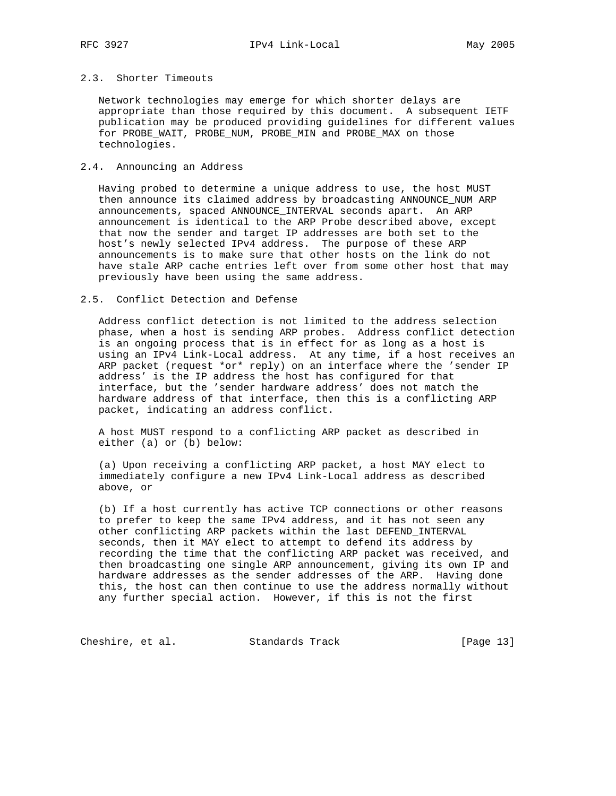Network technologies may emerge for which shorter delays are appropriate than those required by this document. A subsequent IETF publication may be produced providing guidelines for different values for PROBE\_WAIT, PROBE\_NUM, PROBE\_MIN and PROBE\_MAX on those technologies.

## 2.4. Announcing an Address

 Having probed to determine a unique address to use, the host MUST then announce its claimed address by broadcasting ANNOUNCE\_NUM ARP announcements, spaced ANNOUNCE\_INTERVAL seconds apart. An ARP announcement is identical to the ARP Probe described above, except that now the sender and target IP addresses are both set to the host's newly selected IPv4 address. The purpose of these ARP announcements is to make sure that other hosts on the link do not have stale ARP cache entries left over from some other host that may previously have been using the same address.

#### 2.5. Conflict Detection and Defense

 Address conflict detection is not limited to the address selection phase, when a host is sending ARP probes. Address conflict detection is an ongoing process that is in effect for as long as a host is using an IPv4 Link-Local address. At any time, if a host receives an ARP packet (request \*or\* reply) on an interface where the 'sender IP address' is the IP address the host has configured for that interface, but the 'sender hardware address' does not match the hardware address of that interface, then this is a conflicting ARP packet, indicating an address conflict.

 A host MUST respond to a conflicting ARP packet as described in either (a) or (b) below:

 (a) Upon receiving a conflicting ARP packet, a host MAY elect to immediately configure a new IPv4 Link-Local address as described above, or

 (b) If a host currently has active TCP connections or other reasons to prefer to keep the same IPv4 address, and it has not seen any other conflicting ARP packets within the last DEFEND\_INTERVAL seconds, then it MAY elect to attempt to defend its address by recording the time that the conflicting ARP packet was received, and then broadcasting one single ARP announcement, giving its own IP and hardware addresses as the sender addresses of the ARP. Having done this, the host can then continue to use the address normally without any further special action. However, if this is not the first

Cheshire, et al. Standards Track [Page 13]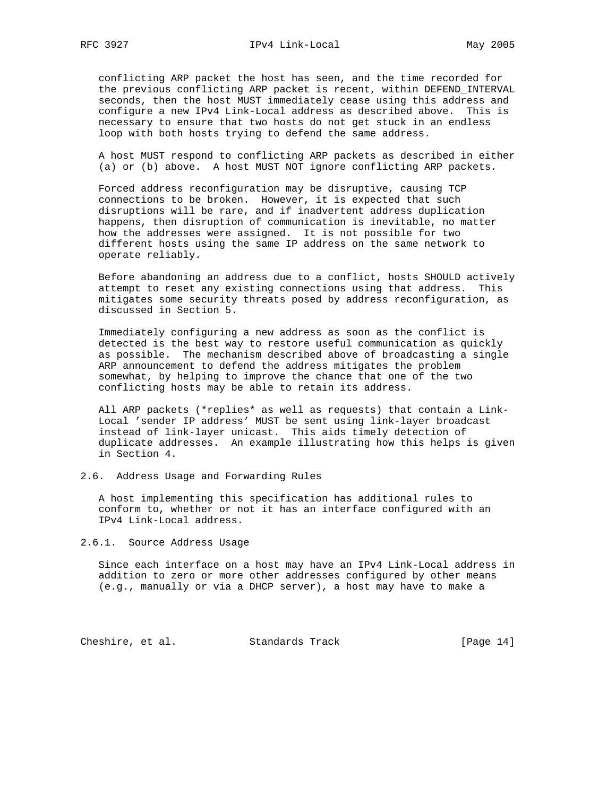conflicting ARP packet the host has seen, and the time recorded for the previous conflicting ARP packet is recent, within DEFEND\_INTERVAL seconds, then the host MUST immediately cease using this address and configure a new IPv4 Link-Local address as described above. This is necessary to ensure that two hosts do not get stuck in an endless loop with both hosts trying to defend the same address.

 A host MUST respond to conflicting ARP packets as described in either (a) or (b) above. A host MUST NOT ignore conflicting ARP packets.

 Forced address reconfiguration may be disruptive, causing TCP connections to be broken. However, it is expected that such disruptions will be rare, and if inadvertent address duplication happens, then disruption of communication is inevitable, no matter how the addresses were assigned. It is not possible for two different hosts using the same IP address on the same network to operate reliably.

 Before abandoning an address due to a conflict, hosts SHOULD actively attempt to reset any existing connections using that address. This mitigates some security threats posed by address reconfiguration, as discussed in Section 5.

 Immediately configuring a new address as soon as the conflict is detected is the best way to restore useful communication as quickly as possible. The mechanism described above of broadcasting a single ARP announcement to defend the address mitigates the problem somewhat, by helping to improve the chance that one of the two conflicting hosts may be able to retain its address.

 All ARP packets (\*replies\* as well as requests) that contain a Link- Local 'sender IP address' MUST be sent using link-layer broadcast instead of link-layer unicast. This aids timely detection of duplicate addresses. An example illustrating how this helps is given in Section 4.

#### 2.6. Address Usage and Forwarding Rules

 A host implementing this specification has additional rules to conform to, whether or not it has an interface configured with an IPv4 Link-Local address.

#### 2.6.1. Source Address Usage

 Since each interface on a host may have an IPv4 Link-Local address in addition to zero or more other addresses configured by other means (e.g., manually or via a DHCP server), a host may have to make a

Cheshire, et al. Standards Track [Page 14]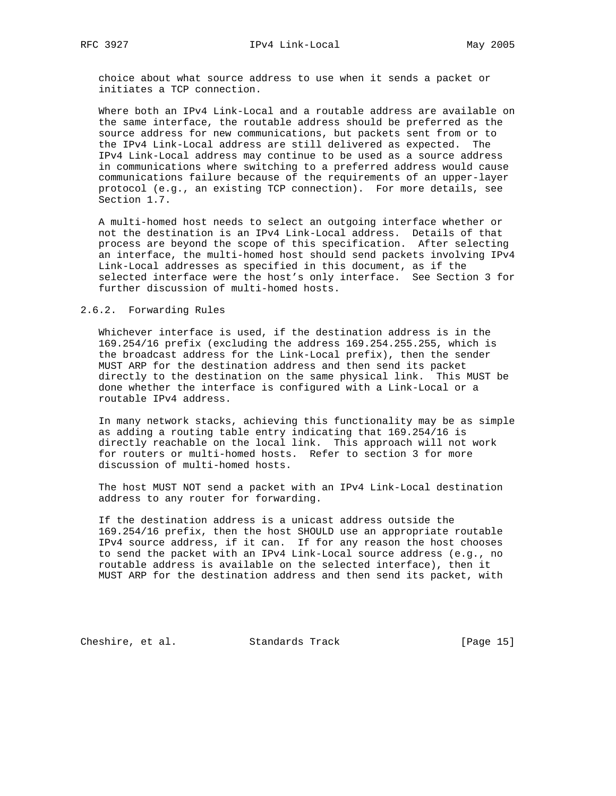choice about what source address to use when it sends a packet or initiates a TCP connection.

 Where both an IPv4 Link-Local and a routable address are available on the same interface, the routable address should be preferred as the source address for new communications, but packets sent from or to the IPv4 Link-Local address are still delivered as expected. The IPv4 Link-Local address may continue to be used as a source address in communications where switching to a preferred address would cause communications failure because of the requirements of an upper-layer protocol (e.g., an existing TCP connection). For more details, see Section 1.7.

 A multi-homed host needs to select an outgoing interface whether or not the destination is an IPv4 Link-Local address. Details of that process are beyond the scope of this specification. After selecting an interface, the multi-homed host should send packets involving IPv4 Link-Local addresses as specified in this document, as if the selected interface were the host's only interface. See Section 3 for further discussion of multi-homed hosts.

## 2.6.2. Forwarding Rules

 Whichever interface is used, if the destination address is in the 169.254/16 prefix (excluding the address 169.254.255.255, which is the broadcast address for the Link-Local prefix), then the sender MUST ARP for the destination address and then send its packet directly to the destination on the same physical link. This MUST be done whether the interface is configured with a Link-Local or a routable IPv4 address.

 In many network stacks, achieving this functionality may be as simple as adding a routing table entry indicating that 169.254/16 is directly reachable on the local link. This approach will not work for routers or multi-homed hosts. Refer to section 3 for more discussion of multi-homed hosts.

 The host MUST NOT send a packet with an IPv4 Link-Local destination address to any router for forwarding.

 If the destination address is a unicast address outside the 169.254/16 prefix, then the host SHOULD use an appropriate routable IPv4 source address, if it can. If for any reason the host chooses to send the packet with an IPv4 Link-Local source address (e.g., no routable address is available on the selected interface), then it MUST ARP for the destination address and then send its packet, with

Cheshire, et al. Standards Track [Page 15]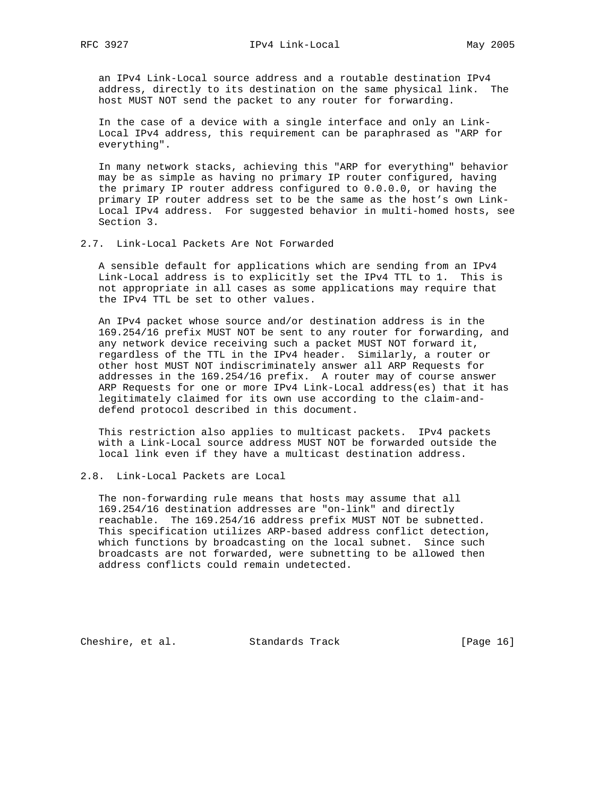an IPv4 Link-Local source address and a routable destination IPv4 address, directly to its destination on the same physical link. The host MUST NOT send the packet to any router for forwarding.

 In the case of a device with a single interface and only an Link- Local IPv4 address, this requirement can be paraphrased as "ARP for everything".

 In many network stacks, achieving this "ARP for everything" behavior may be as simple as having no primary IP router configured, having the primary IP router address configured to 0.0.0.0, or having the primary IP router address set to be the same as the host's own Link- Local IPv4 address. For suggested behavior in multi-homed hosts, see Section 3.

#### 2.7. Link-Local Packets Are Not Forwarded

 A sensible default for applications which are sending from an IPv4 Link-Local address is to explicitly set the IPv4 TTL to 1. This is not appropriate in all cases as some applications may require that the IPv4 TTL be set to other values.

 An IPv4 packet whose source and/or destination address is in the 169.254/16 prefix MUST NOT be sent to any router for forwarding, and any network device receiving such a packet MUST NOT forward it, regardless of the TTL in the IPv4 header. Similarly, a router or other host MUST NOT indiscriminately answer all ARP Requests for addresses in the 169.254/16 prefix. A router may of course answer ARP Requests for one or more IPv4 Link-Local address(es) that it has legitimately claimed for its own use according to the claim-and defend protocol described in this document.

 This restriction also applies to multicast packets. IPv4 packets with a Link-Local source address MUST NOT be forwarded outside the local link even if they have a multicast destination address.

# 2.8. Link-Local Packets are Local

 The non-forwarding rule means that hosts may assume that all 169.254/16 destination addresses are "on-link" and directly reachable. The 169.254/16 address prefix MUST NOT be subnetted. This specification utilizes ARP-based address conflict detection, which functions by broadcasting on the local subnet. Since such broadcasts are not forwarded, were subnetting to be allowed then address conflicts could remain undetected.

Cheshire, et al. Standards Track [Page 16]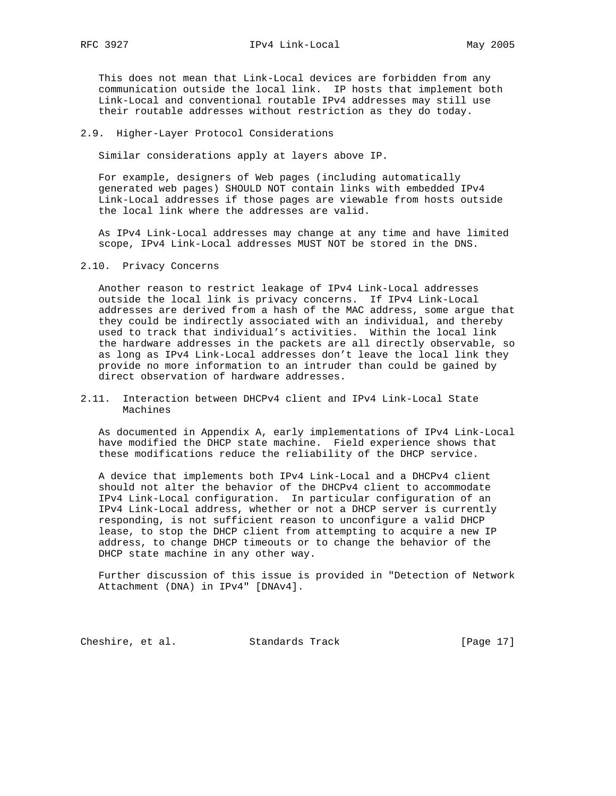RFC 3927 **IPv4** Link-Local May 2005

 This does not mean that Link-Local devices are forbidden from any communication outside the local link. IP hosts that implement both Link-Local and conventional routable IPv4 addresses may still use their routable addresses without restriction as they do today.

#### 2.9. Higher-Layer Protocol Considerations

Similar considerations apply at layers above IP.

 For example, designers of Web pages (including automatically generated web pages) SHOULD NOT contain links with embedded IPv4 Link-Local addresses if those pages are viewable from hosts outside the local link where the addresses are valid.

 As IPv4 Link-Local addresses may change at any time and have limited scope, IPv4 Link-Local addresses MUST NOT be stored in the DNS.

#### 2.10. Privacy Concerns

 Another reason to restrict leakage of IPv4 Link-Local addresses outside the local link is privacy concerns. If IPv4 Link-Local addresses are derived from a hash of the MAC address, some argue that they could be indirectly associated with an individual, and thereby used to track that individual's activities. Within the local link the hardware addresses in the packets are all directly observable, so as long as IPv4 Link-Local addresses don't leave the local link they provide no more information to an intruder than could be gained by direct observation of hardware addresses.

2.11. Interaction between DHCPv4 client and IPv4 Link-Local State Machines

 As documented in Appendix A, early implementations of IPv4 Link-Local have modified the DHCP state machine. Field experience shows that these modifications reduce the reliability of the DHCP service.

 A device that implements both IPv4 Link-Local and a DHCPv4 client should not alter the behavior of the DHCPv4 client to accommodate IPv4 Link-Local configuration. In particular configuration of an IPv4 Link-Local address, whether or not a DHCP server is currently responding, is not sufficient reason to unconfigure a valid DHCP lease, to stop the DHCP client from attempting to acquire a new IP address, to change DHCP timeouts or to change the behavior of the DHCP state machine in any other way.

 Further discussion of this issue is provided in "Detection of Network Attachment (DNA) in IPv4" [DNAv4].

Cheshire, et al. Standards Track [Page 17]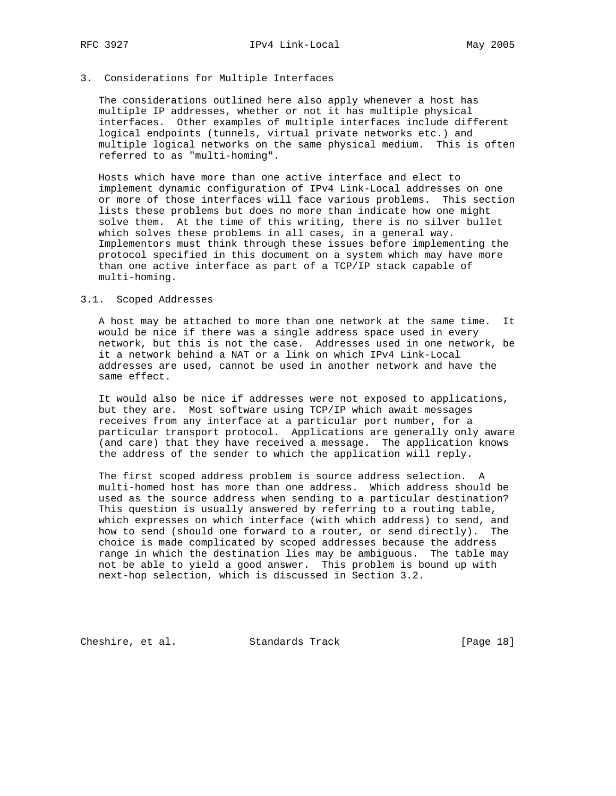# 3. Considerations for Multiple Interfaces

 The considerations outlined here also apply whenever a host has multiple IP addresses, whether or not it has multiple physical interfaces. Other examples of multiple interfaces include different logical endpoints (tunnels, virtual private networks etc.) and multiple logical networks on the same physical medium. This is often referred to as "multi-homing".

 Hosts which have more than one active interface and elect to implement dynamic configuration of IPv4 Link-Local addresses on one or more of those interfaces will face various problems. This section lists these problems but does no more than indicate how one might solve them. At the time of this writing, there is no silver bullet which solves these problems in all cases, in a general way. Implementors must think through these issues before implementing the protocol specified in this document on a system which may have more than one active interface as part of a TCP/IP stack capable of multi-homing.

#### 3.1. Scoped Addresses

 A host may be attached to more than one network at the same time. It would be nice if there was a single address space used in every network, but this is not the case. Addresses used in one network, be it a network behind a NAT or a link on which IPv4 Link-Local addresses are used, cannot be used in another network and have the same effect.

 It would also be nice if addresses were not exposed to applications, but they are. Most software using TCP/IP which await messages receives from any interface at a particular port number, for a particular transport protocol. Applications are generally only aware (and care) that they have received a message. The application knows the address of the sender to which the application will reply.

 The first scoped address problem is source address selection. A multi-homed host has more than one address. Which address should be used as the source address when sending to a particular destination? This question is usually answered by referring to a routing table, which expresses on which interface (with which address) to send, and how to send (should one forward to a router, or send directly). The choice is made complicated by scoped addresses because the address range in which the destination lies may be ambiguous. The table may not be able to yield a good answer. This problem is bound up with next-hop selection, which is discussed in Section 3.2.

Cheshire, et al. Standards Track [Page 18]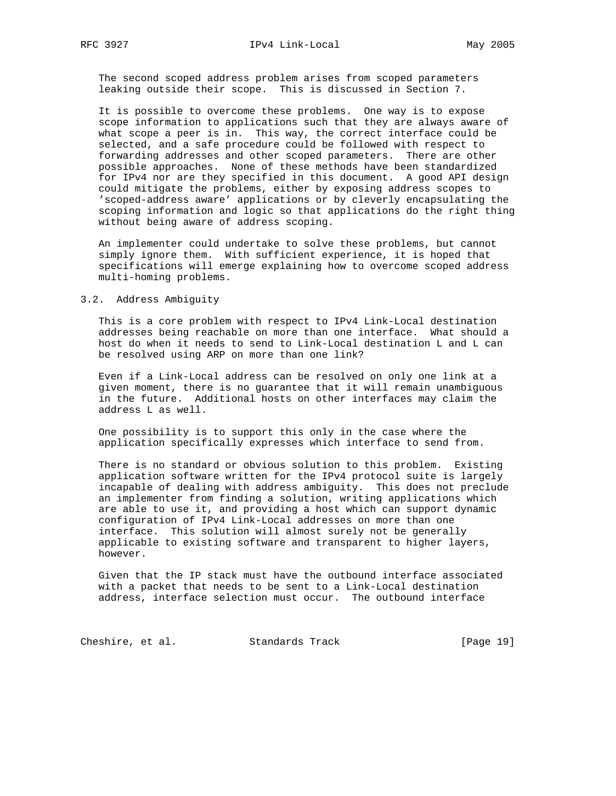The second scoped address problem arises from scoped parameters leaking outside their scope. This is discussed in Section 7.

 It is possible to overcome these problems. One way is to expose scope information to applications such that they are always aware of what scope a peer is in. This way, the correct interface could be selected, and a safe procedure could be followed with respect to forwarding addresses and other scoped parameters. There are other possible approaches. None of these methods have been standardized for IPv4 nor are they specified in this document. A good API design could mitigate the problems, either by exposing address scopes to 'scoped-address aware' applications or by cleverly encapsulating the scoping information and logic so that applications do the right thing without being aware of address scoping.

 An implementer could undertake to solve these problems, but cannot simply ignore them. With sufficient experience, it is hoped that specifications will emerge explaining how to overcome scoped address multi-homing problems.

#### 3.2. Address Ambiguity

 This is a core problem with respect to IPv4 Link-Local destination addresses being reachable on more than one interface. What should a host do when it needs to send to Link-Local destination L and L can be resolved using ARP on more than one link?

 Even if a Link-Local address can be resolved on only one link at a given moment, there is no guarantee that it will remain unambiguous in the future. Additional hosts on other interfaces may claim the address L as well.

 One possibility is to support this only in the case where the application specifically expresses which interface to send from.

 There is no standard or obvious solution to this problem. Existing application software written for the IPv4 protocol suite is largely incapable of dealing with address ambiguity. This does not preclude an implementer from finding a solution, writing applications which are able to use it, and providing a host which can support dynamic configuration of IPv4 Link-Local addresses on more than one interface. This solution will almost surely not be generally applicable to existing software and transparent to higher layers, however.

 Given that the IP stack must have the outbound interface associated with a packet that needs to be sent to a Link-Local destination address, interface selection must occur. The outbound interface

Cheshire, et al. Standards Track [Page 19]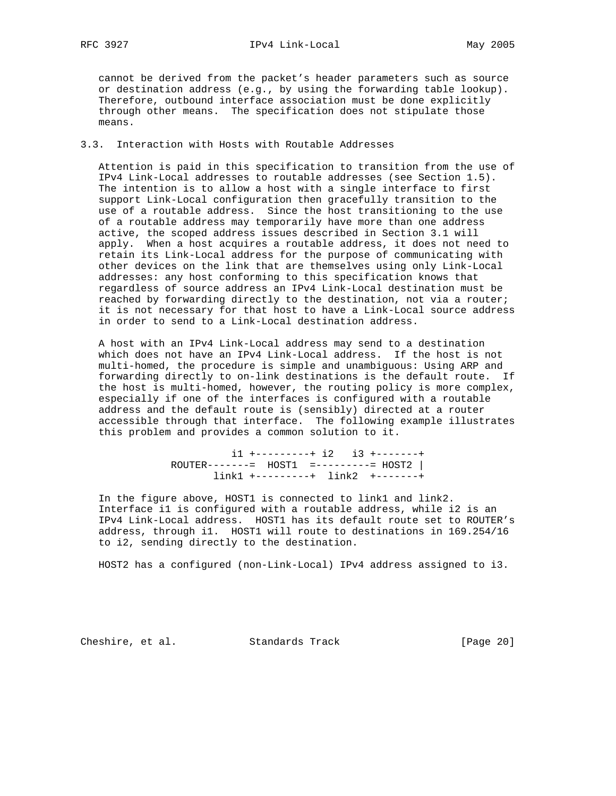cannot be derived from the packet's header parameters such as source or destination address (e.g., by using the forwarding table lookup). Therefore, outbound interface association must be done explicitly through other means. The specification does not stipulate those means.

## 3.3. Interaction with Hosts with Routable Addresses

 Attention is paid in this specification to transition from the use of IPv4 Link-Local addresses to routable addresses (see Section 1.5). The intention is to allow a host with a single interface to first support Link-Local configuration then gracefully transition to the use of a routable address. Since the host transitioning to the use of a routable address may temporarily have more than one address active, the scoped address issues described in Section 3.1 will apply. When a host acquires a routable address, it does not need to retain its Link-Local address for the purpose of communicating with other devices on the link that are themselves using only Link-Local addresses: any host conforming to this specification knows that regardless of source address an IPv4 Link-Local destination must be reached by forwarding directly to the destination, not via a router; it is not necessary for that host to have a Link-Local source address in order to send to a Link-Local destination address.

 A host with an IPv4 Link-Local address may send to a destination which does not have an IPv4 Link-Local address. If the host is not multi-homed, the procedure is simple and unambiguous: Using ARP and forwarding directly to on-link destinations is the default route. If the host is multi-homed, however, the routing policy is more complex, especially if one of the interfaces is configured with a routable address and the default route is (sensibly) directed at a router accessible through that interface. The following example illustrates this problem and provides a common solution to it.

> i1 +---------+ i2 i3 +-------+ ROUTER-------= HOST1 =---------= HOST2 | link1 +---------+ link2 +-------+

 In the figure above, HOST1 is connected to link1 and link2. Interface i1 is configured with a routable address, while i2 is an IPv4 Link-Local address. HOST1 has its default route set to ROUTER's address, through i1. HOST1 will route to destinations in 169.254/16 to i2, sending directly to the destination.

HOST2 has a configured (non-Link-Local) IPv4 address assigned to i3.

Cheshire, et al. Standards Track [Page 20]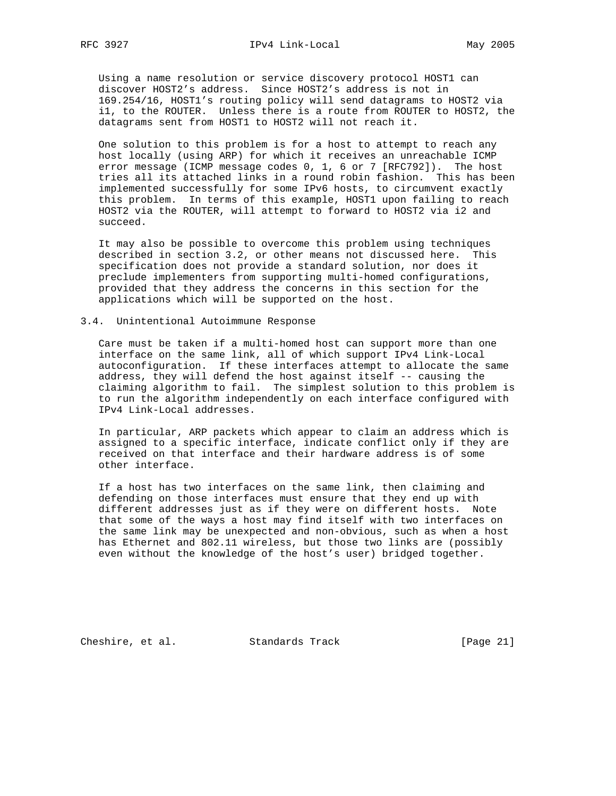Using a name resolution or service discovery protocol HOST1 can discover HOST2's address. Since HOST2's address is not in 169.254/16, HOST1's routing policy will send datagrams to HOST2 via i1, to the ROUTER. Unless there is a route from ROUTER to HOST2, the datagrams sent from HOST1 to HOST2 will not reach it.

 One solution to this problem is for a host to attempt to reach any host locally (using ARP) for which it receives an unreachable ICMP error message (ICMP message codes 0, 1, 6 or 7 [RFC792]). The host tries all its attached links in a round robin fashion. This has been implemented successfully for some IPv6 hosts, to circumvent exactly this problem. In terms of this example, HOST1 upon failing to reach HOST2 via the ROUTER, will attempt to forward to HOST2 via i2 and succeed.

 It may also be possible to overcome this problem using techniques described in section 3.2, or other means not discussed here. This specification does not provide a standard solution, nor does it preclude implementers from supporting multi-homed configurations, provided that they address the concerns in this section for the applications which will be supported on the host.

#### 3.4. Unintentional Autoimmune Response

 Care must be taken if a multi-homed host can support more than one interface on the same link, all of which support IPv4 Link-Local autoconfiguration. If these interfaces attempt to allocate the same address, they will defend the host against itself -- causing the claiming algorithm to fail. The simplest solution to this problem is to run the algorithm independently on each interface configured with IPv4 Link-Local addresses.

 In particular, ARP packets which appear to claim an address which is assigned to a specific interface, indicate conflict only if they are received on that interface and their hardware address is of some other interface.

 If a host has two interfaces on the same link, then claiming and defending on those interfaces must ensure that they end up with different addresses just as if they were on different hosts. Note that some of the ways a host may find itself with two interfaces on the same link may be unexpected and non-obvious, such as when a host has Ethernet and 802.11 wireless, but those two links are (possibly even without the knowledge of the host's user) bridged together.

Cheshire, et al. Standards Track [Page 21]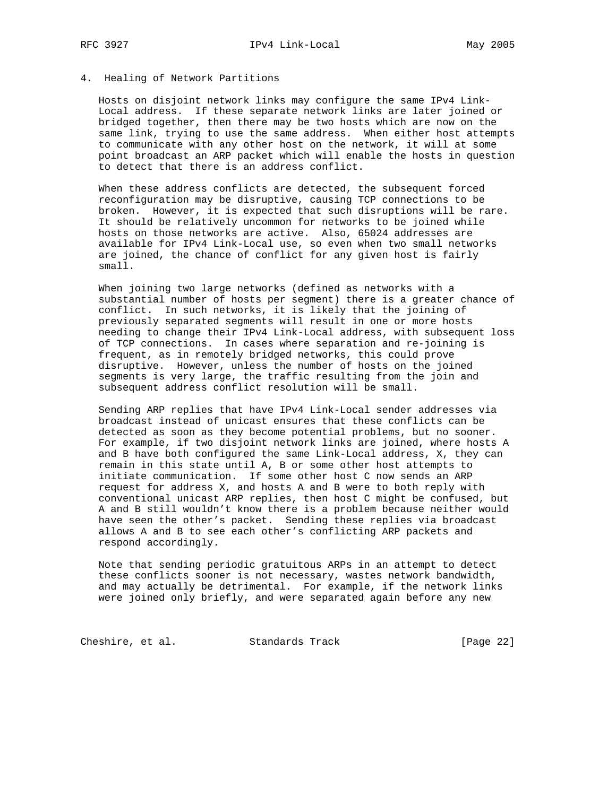## 4. Healing of Network Partitions

 Hosts on disjoint network links may configure the same IPv4 Link- Local address. If these separate network links are later joined or bridged together, then there may be two hosts which are now on the same link, trying to use the same address. When either host attempts to communicate with any other host on the network, it will at some point broadcast an ARP packet which will enable the hosts in question to detect that there is an address conflict.

 When these address conflicts are detected, the subsequent forced reconfiguration may be disruptive, causing TCP connections to be broken. However, it is expected that such disruptions will be rare. It should be relatively uncommon for networks to be joined while hosts on those networks are active. Also, 65024 addresses are available for IPv4 Link-Local use, so even when two small networks are joined, the chance of conflict for any given host is fairly small.

 When joining two large networks (defined as networks with a substantial number of hosts per segment) there is a greater chance of conflict. In such networks, it is likely that the joining of previously separated segments will result in one or more hosts needing to change their IPv4 Link-Local address, with subsequent loss of TCP connections. In cases where separation and re-joining is frequent, as in remotely bridged networks, this could prove disruptive. However, unless the number of hosts on the joined segments is very large, the traffic resulting from the join and subsequent address conflict resolution will be small.

 Sending ARP replies that have IPv4 Link-Local sender addresses via broadcast instead of unicast ensures that these conflicts can be detected as soon as they become potential problems, but no sooner. For example, if two disjoint network links are joined, where hosts A and B have both configured the same Link-Local address, X, they can remain in this state until A, B or some other host attempts to initiate communication. If some other host C now sends an ARP request for address X, and hosts A and B were to both reply with conventional unicast ARP replies, then host C might be confused, but A and B still wouldn't know there is a problem because neither would have seen the other's packet. Sending these replies via broadcast allows A and B to see each other's conflicting ARP packets and respond accordingly.

 Note that sending periodic gratuitous ARPs in an attempt to detect these conflicts sooner is not necessary, wastes network bandwidth, and may actually be detrimental. For example, if the network links were joined only briefly, and were separated again before any new

Cheshire, et al. Standards Track [Page 22]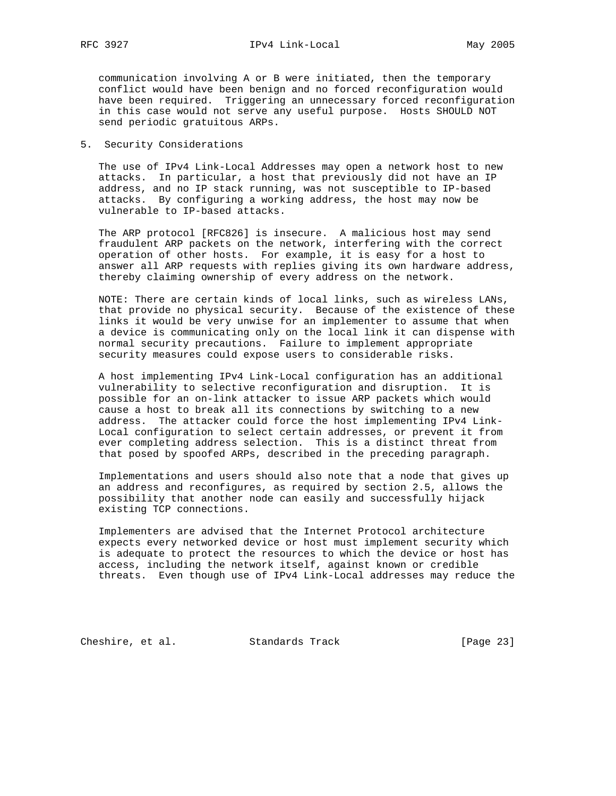communication involving A or B were initiated, then the temporary conflict would have been benign and no forced reconfiguration would have been required. Triggering an unnecessary forced reconfiguration in this case would not serve any useful purpose. Hosts SHOULD NOT send periodic gratuitous ARPs.

## 5. Security Considerations

 The use of IPv4 Link-Local Addresses may open a network host to new attacks. In particular, a host that previously did not have an IP address, and no IP stack running, was not susceptible to IP-based attacks. By configuring a working address, the host may now be vulnerable to IP-based attacks.

 The ARP protocol [RFC826] is insecure. A malicious host may send fraudulent ARP packets on the network, interfering with the correct operation of other hosts. For example, it is easy for a host to answer all ARP requests with replies giving its own hardware address, thereby claiming ownership of every address on the network.

 NOTE: There are certain kinds of local links, such as wireless LANs, that provide no physical security. Because of the existence of these links it would be very unwise for an implementer to assume that when a device is communicating only on the local link it can dispense with normal security precautions. Failure to implement appropriate security measures could expose users to considerable risks.

 A host implementing IPv4 Link-Local configuration has an additional vulnerability to selective reconfiguration and disruption. It is possible for an on-link attacker to issue ARP packets which would cause a host to break all its connections by switching to a new address. The attacker could force the host implementing IPv4 Link- Local configuration to select certain addresses, or prevent it from ever completing address selection. This is a distinct threat from that posed by spoofed ARPs, described in the preceding paragraph.

 Implementations and users should also note that a node that gives up an address and reconfigures, as required by section 2.5, allows the possibility that another node can easily and successfully hijack existing TCP connections.

 Implementers are advised that the Internet Protocol architecture expects every networked device or host must implement security which is adequate to protect the resources to which the device or host has access, including the network itself, against known or credible threats. Even though use of IPv4 Link-Local addresses may reduce the

Cheshire, et al. Standards Track [Page 23]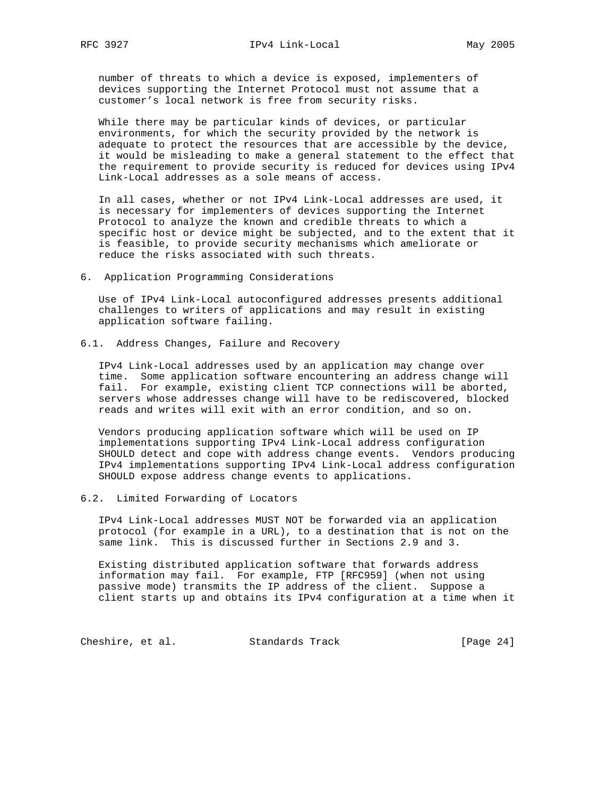number of threats to which a device is exposed, implementers of devices supporting the Internet Protocol must not assume that a customer's local network is free from security risks.

 While there may be particular kinds of devices, or particular environments, for which the security provided by the network is adequate to protect the resources that are accessible by the device, it would be misleading to make a general statement to the effect that the requirement to provide security is reduced for devices using IPv4 Link-Local addresses as a sole means of access.

 In all cases, whether or not IPv4 Link-Local addresses are used, it is necessary for implementers of devices supporting the Internet Protocol to analyze the known and credible threats to which a specific host or device might be subjected, and to the extent that it is feasible, to provide security mechanisms which ameliorate or reduce the risks associated with such threats.

6. Application Programming Considerations

 Use of IPv4 Link-Local autoconfigured addresses presents additional challenges to writers of applications and may result in existing application software failing.

6.1. Address Changes, Failure and Recovery

 IPv4 Link-Local addresses used by an application may change over time. Some application software encountering an address change will fail. For example, existing client TCP connections will be aborted, servers whose addresses change will have to be rediscovered, blocked reads and writes will exit with an error condition, and so on.

 Vendors producing application software which will be used on IP implementations supporting IPv4 Link-Local address configuration SHOULD detect and cope with address change events. Vendors producing IPv4 implementations supporting IPv4 Link-Local address configuration SHOULD expose address change events to applications.

6.2. Limited Forwarding of Locators

 IPv4 Link-Local addresses MUST NOT be forwarded via an application protocol (for example in a URL), to a destination that is not on the same link. This is discussed further in Sections 2.9 and 3.

 Existing distributed application software that forwards address information may fail. For example, FTP [RFC959] (when not using passive mode) transmits the IP address of the client. Suppose a client starts up and obtains its IPv4 configuration at a time when it

Cheshire, et al. Standards Track [Page 24]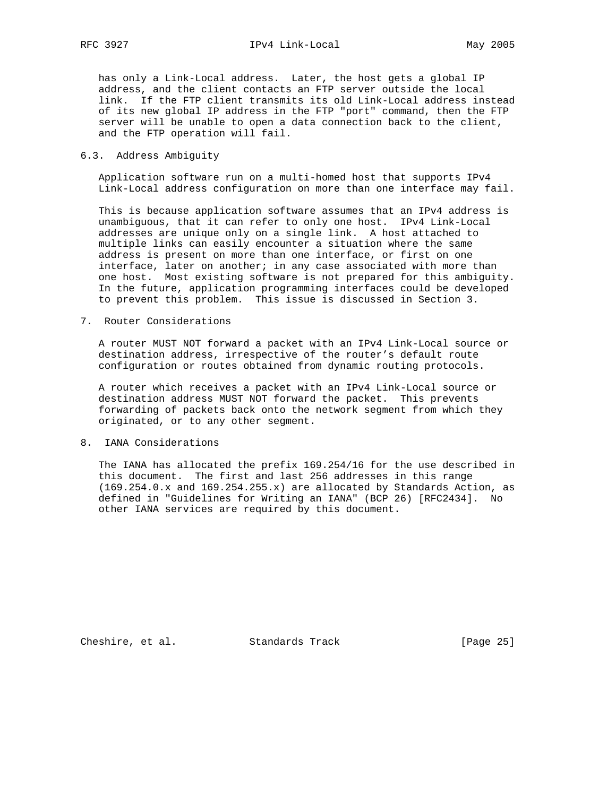has only a Link-Local address. Later, the host gets a global IP address, and the client contacts an FTP server outside the local link. If the FTP client transmits its old Link-Local address instead of its new global IP address in the FTP "port" command, then the FTP server will be unable to open a data connection back to the client, and the FTP operation will fail.

## 6.3. Address Ambiguity

 Application software run on a multi-homed host that supports IPv4 Link-Local address configuration on more than one interface may fail.

 This is because application software assumes that an IPv4 address is unambiguous, that it can refer to only one host. IPv4 Link-Local addresses are unique only on a single link. A host attached to multiple links can easily encounter a situation where the same address is present on more than one interface, or first on one interface, later on another; in any case associated with more than one host. Most existing software is not prepared for this ambiguity. In the future, application programming interfaces could be developed to prevent this problem. This issue is discussed in Section 3.

7. Router Considerations

 A router MUST NOT forward a packet with an IPv4 Link-Local source or destination address, irrespective of the router's default route configuration or routes obtained from dynamic routing protocols.

 A router which receives a packet with an IPv4 Link-Local source or destination address MUST NOT forward the packet. This prevents forwarding of packets back onto the network segment from which they originated, or to any other segment.

## 8. IANA Considerations

 The IANA has allocated the prefix 169.254/16 for the use described in this document. The first and last 256 addresses in this range (169.254.0.x and 169.254.255.x) are allocated by Standards Action, as defined in "Guidelines for Writing an IANA" (BCP 26) [RFC2434]. No other IANA services are required by this document.

Cheshire, et al. Standards Track [Page 25]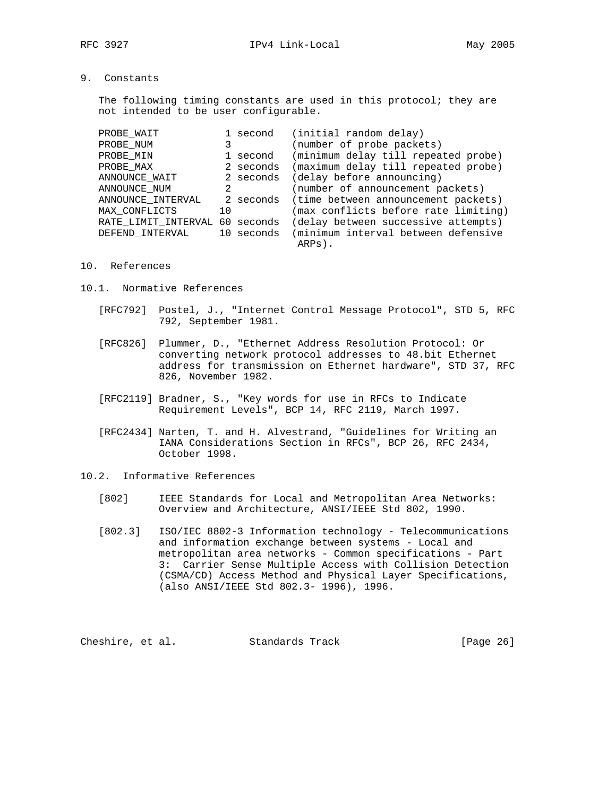The following timing constants are used in this protocol; they are not intended to be user configurable.

| PROBE WAIT                     |    | 1 second  | (initial random delay)                         |
|--------------------------------|----|-----------|------------------------------------------------|
| PROBE NUM                      |    |           | (number of probe packets)                      |
| PROBE MIN                      |    | 1 second  | (minimum delay till repeated probe)            |
| PROBE MAX                      |    | 2 seconds | (maximum delay till repeated probe)            |
| ANNOUNCE_WAIT                  |    | 2 seconds | (delay before announcing)                      |
| ANNOUNCE NUM                   | 2  |           | (number of announcement packets)               |
| ANNOUNCE_INTERVAL              |    | 2 seconds | (time between announcement packets)            |
| MAX CONFLICTS                  | 10 |           | (max conflicts before rate limiting)           |
| RATE LIMIT INTERVAL 60 seconds |    |           | (delay between successive attempts)            |
| DEFEND INTERVAL                |    |           | 10 seconds (minimum interval between defensive |
|                                |    |           | ARPs).                                         |

#### 10. References

- 10.1. Normative References
	- [RFC792] Postel, J., "Internet Control Message Protocol", STD 5, RFC 792, September 1981.
	- [RFC826] Plummer, D., "Ethernet Address Resolution Protocol: Or converting network protocol addresses to 48.bit Ethernet address for transmission on Ethernet hardware", STD 37, RFC 826, November 1982.
	- [RFC2119] Bradner, S., "Key words for use in RFCs to Indicate Requirement Levels", BCP 14, RFC 2119, March 1997.
	- [RFC2434] Narten, T. and H. Alvestrand, "Guidelines for Writing an IANA Considerations Section in RFCs", BCP 26, RFC 2434, October 1998.
- 10.2. Informative References
	- [802] IEEE Standards for Local and Metropolitan Area Networks: Overview and Architecture, ANSI/IEEE Std 802, 1990.
	- [802.3] ISO/IEC 8802-3 Information technology Telecommunications and information exchange between systems - Local and metropolitan area networks - Common specifications - Part 3: Carrier Sense Multiple Access with Collision Detection (CSMA/CD) Access Method and Physical Layer Specifications, (also ANSI/IEEE Std 802.3- 1996), 1996.

Cheshire, et al. Standards Track [Page 26]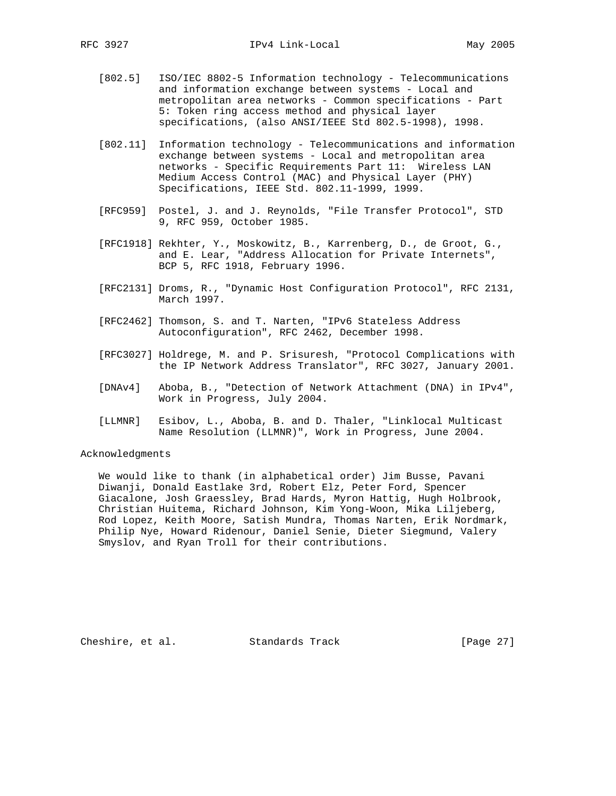- [802.5] ISO/IEC 8802-5 Information technology Telecommunications and information exchange between systems - Local and metropolitan area networks - Common specifications - Part 5: Token ring access method and physical layer specifications, (also ANSI/IEEE Std 802.5-1998), 1998.
- [802.11] Information technology Telecommunications and information exchange between systems - Local and metropolitan area networks - Specific Requirements Part 11: Wireless LAN Medium Access Control (MAC) and Physical Layer (PHY) Specifications, IEEE Std. 802.11-1999, 1999.
- [RFC959] Postel, J. and J. Reynolds, "File Transfer Protocol", STD 9, RFC 959, October 1985.
- [RFC1918] Rekhter, Y., Moskowitz, B., Karrenberg, D., de Groot, G., and E. Lear, "Address Allocation for Private Internets", BCP 5, RFC 1918, February 1996.
- [RFC2131] Droms, R., "Dynamic Host Configuration Protocol", RFC 2131, March 1997.
- [RFC2462] Thomson, S. and T. Narten, "IPv6 Stateless Address Autoconfiguration", RFC 2462, December 1998.
- [RFC3027] Holdrege, M. and P. Srisuresh, "Protocol Complications with the IP Network Address Translator", RFC 3027, January 2001.
- [DNAv4] Aboba, B., "Detection of Network Attachment (DNA) in IPv4", Work in Progress, July 2004.
- [LLMNR] Esibov, L., Aboba, B. and D. Thaler, "Linklocal Multicast Name Resolution (LLMNR)", Work in Progress, June 2004.

## Acknowledgments

 We would like to thank (in alphabetical order) Jim Busse, Pavani Diwanji, Donald Eastlake 3rd, Robert Elz, Peter Ford, Spencer Giacalone, Josh Graessley, Brad Hards, Myron Hattig, Hugh Holbrook, Christian Huitema, Richard Johnson, Kim Yong-Woon, Mika Liljeberg, Rod Lopez, Keith Moore, Satish Mundra, Thomas Narten, Erik Nordmark, Philip Nye, Howard Ridenour, Daniel Senie, Dieter Siegmund, Valery Smyslov, and Ryan Troll for their contributions.

Cheshire, et al. Standards Track [Page 27]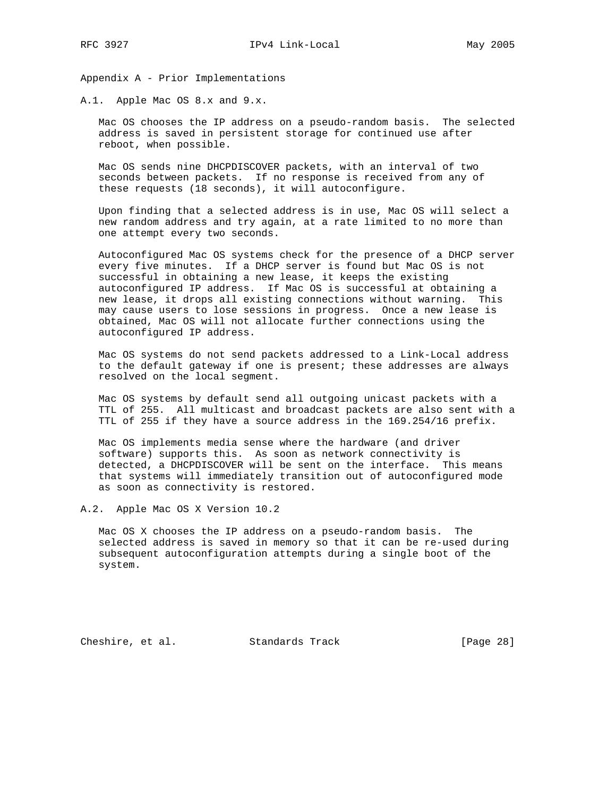Appendix A - Prior Implementations

A.1. Apple Mac OS 8.x and 9.x.

 Mac OS chooses the IP address on a pseudo-random basis. The selected address is saved in persistent storage for continued use after reboot, when possible.

 Mac OS sends nine DHCPDISCOVER packets, with an interval of two seconds between packets. If no response is received from any of these requests (18 seconds), it will autoconfigure.

 Upon finding that a selected address is in use, Mac OS will select a new random address and try again, at a rate limited to no more than one attempt every two seconds.

 Autoconfigured Mac OS systems check for the presence of a DHCP server every five minutes. If a DHCP server is found but Mac OS is not successful in obtaining a new lease, it keeps the existing autoconfigured IP address. If Mac OS is successful at obtaining a new lease, it drops all existing connections without warning. This may cause users to lose sessions in progress. Once a new lease is obtained, Mac OS will not allocate further connections using the autoconfigured IP address.

 Mac OS systems do not send packets addressed to a Link-Local address to the default gateway if one is present; these addresses are always resolved on the local segment.

 Mac OS systems by default send all outgoing unicast packets with a TTL of 255. All multicast and broadcast packets are also sent with a TTL of 255 if they have a source address in the 169.254/16 prefix.

 Mac OS implements media sense where the hardware (and driver software) supports this. As soon as network connectivity is detected, a DHCPDISCOVER will be sent on the interface. This means that systems will immediately transition out of autoconfigured mode as soon as connectivity is restored.

A.2. Apple Mac OS X Version 10.2

 Mac OS X chooses the IP address on a pseudo-random basis. The selected address is saved in memory so that it can be re-used during subsequent autoconfiguration attempts during a single boot of the system.

Cheshire, et al. Standards Track [Page 28]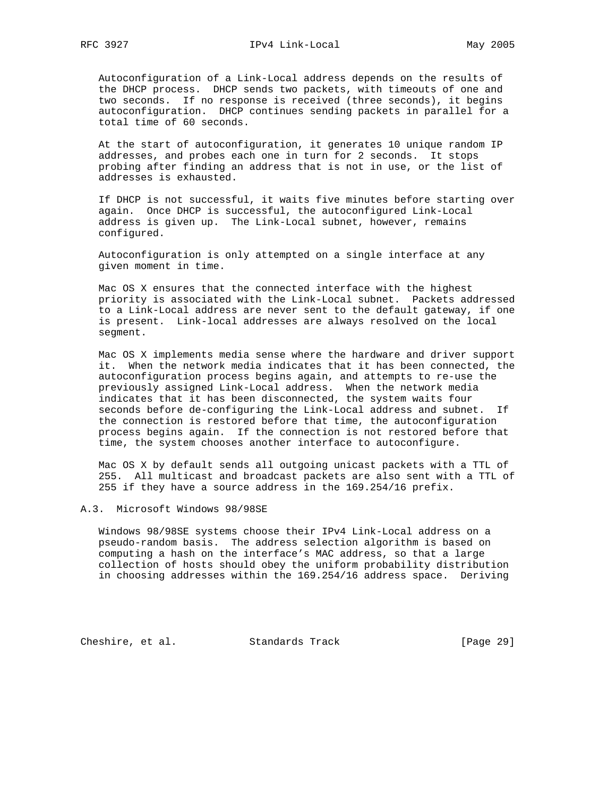Autoconfiguration of a Link-Local address depends on the results of the DHCP process. DHCP sends two packets, with timeouts of one and two seconds. If no response is received (three seconds), it begins autoconfiguration. DHCP continues sending packets in parallel for a total time of 60 seconds.

 At the start of autoconfiguration, it generates 10 unique random IP addresses, and probes each one in turn for 2 seconds. It stops probing after finding an address that is not in use, or the list of addresses is exhausted.

 If DHCP is not successful, it waits five minutes before starting over again. Once DHCP is successful, the autoconfigured Link-Local address is given up. The Link-Local subnet, however, remains configured.

 Autoconfiguration is only attempted on a single interface at any given moment in time.

 Mac OS X ensures that the connected interface with the highest priority is associated with the Link-Local subnet. Packets addressed to a Link-Local address are never sent to the default gateway, if one is present. Link-local addresses are always resolved on the local segment.

 Mac OS X implements media sense where the hardware and driver support it. When the network media indicates that it has been connected, the autoconfiguration process begins again, and attempts to re-use the previously assigned Link-Local address. When the network media indicates that it has been disconnected, the system waits four seconds before de-configuring the Link-Local address and subnet. If the connection is restored before that time, the autoconfiguration process begins again. If the connection is not restored before that time, the system chooses another interface to autoconfigure.

 Mac OS X by default sends all outgoing unicast packets with a TTL of 255. All multicast and broadcast packets are also sent with a TTL of 255 if they have a source address in the 169.254/16 prefix.

#### A.3. Microsoft Windows 98/98SE

 Windows 98/98SE systems choose their IPv4 Link-Local address on a pseudo-random basis. The address selection algorithm is based on computing a hash on the interface's MAC address, so that a large collection of hosts should obey the uniform probability distribution in choosing addresses within the 169.254/16 address space. Deriving

Cheshire, et al. Standards Track [Page 29]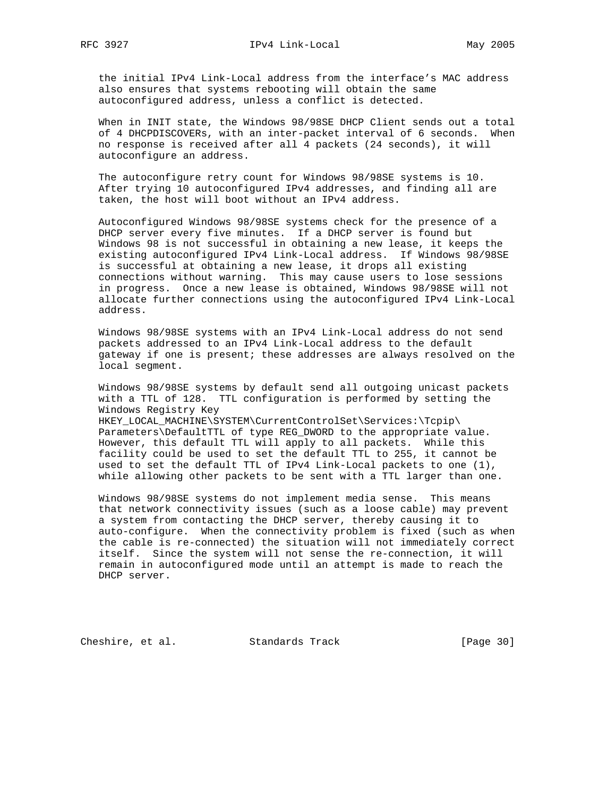the initial IPv4 Link-Local address from the interface's MAC address also ensures that systems rebooting will obtain the same autoconfigured address, unless a conflict is detected.

 When in INIT state, the Windows 98/98SE DHCP Client sends out a total of 4 DHCPDISCOVERs, with an inter-packet interval of 6 seconds. When no response is received after all 4 packets (24 seconds), it will autoconfigure an address.

 The autoconfigure retry count for Windows 98/98SE systems is 10. After trying 10 autoconfigured IPv4 addresses, and finding all are taken, the host will boot without an IPv4 address.

 Autoconfigured Windows 98/98SE systems check for the presence of a DHCP server every five minutes. If a DHCP server is found but Windows 98 is not successful in obtaining a new lease, it keeps the existing autoconfigured IPv4 Link-Local address. If Windows 98/98SE is successful at obtaining a new lease, it drops all existing connections without warning. This may cause users to lose sessions in progress. Once a new lease is obtained, Windows 98/98SE will not allocate further connections using the autoconfigured IPv4 Link-Local address.

 Windows 98/98SE systems with an IPv4 Link-Local address do not send packets addressed to an IPv4 Link-Local address to the default gateway if one is present; these addresses are always resolved on the local segment.

 Windows 98/98SE systems by default send all outgoing unicast packets with a TTL of 128. TTL configuration is performed by setting the Windows Registry Key

 HKEY\_LOCAL\_MACHINE\SYSTEM\CurrentControlSet\Services:\Tcpip\ Parameters\DefaultTTL of type REG\_DWORD to the appropriate value. However, this default TTL will apply to all packets. While this facility could be used to set the default TTL to 255, it cannot be used to set the default TTL of IPv4 Link-Local packets to one (1), while allowing other packets to be sent with a TTL larger than one.

 Windows 98/98SE systems do not implement media sense. This means that network connectivity issues (such as a loose cable) may prevent a system from contacting the DHCP server, thereby causing it to auto-configure. When the connectivity problem is fixed (such as when the cable is re-connected) the situation will not immediately correct itself. Since the system will not sense the re-connection, it will remain in autoconfigured mode until an attempt is made to reach the DHCP server.

Cheshire, et al. Standards Track [Page 30]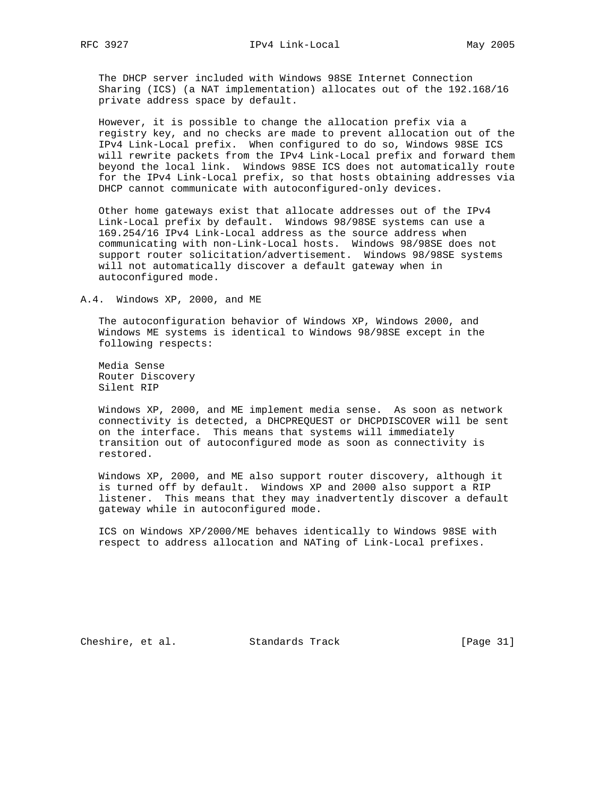The DHCP server included with Windows 98SE Internet Connection Sharing (ICS) (a NAT implementation) allocates out of the 192.168/16 private address space by default.

 However, it is possible to change the allocation prefix via a registry key, and no checks are made to prevent allocation out of the IPv4 Link-Local prefix. When configured to do so, Windows 98SE ICS will rewrite packets from the IPv4 Link-Local prefix and forward them beyond the local link. Windows 98SE ICS does not automatically route for the IPv4 Link-Local prefix, so that hosts obtaining addresses via DHCP cannot communicate with autoconfigured-only devices.

 Other home gateways exist that allocate addresses out of the IPv4 Link-Local prefix by default. Windows 98/98SE systems can use a 169.254/16 IPv4 Link-Local address as the source address when communicating with non-Link-Local hosts. Windows 98/98SE does not support router solicitation/advertisement. Windows 98/98SE systems will not automatically discover a default gateway when in autoconfigured mode.

#### A.4. Windows XP, 2000, and ME

 The autoconfiguration behavior of Windows XP, Windows 2000, and Windows ME systems is identical to Windows 98/98SE except in the following respects:

 Media Sense Router Discovery Silent RIP

 Windows XP, 2000, and ME implement media sense. As soon as network connectivity is detected, a DHCPREQUEST or DHCPDISCOVER will be sent on the interface. This means that systems will immediately transition out of autoconfigured mode as soon as connectivity is restored.

 Windows XP, 2000, and ME also support router discovery, although it is turned off by default. Windows XP and 2000 also support a RIP listener. This means that they may inadvertently discover a default gateway while in autoconfigured mode.

 ICS on Windows XP/2000/ME behaves identically to Windows 98SE with respect to address allocation and NATing of Link-Local prefixes.

Cheshire, et al. Standards Track [Page 31]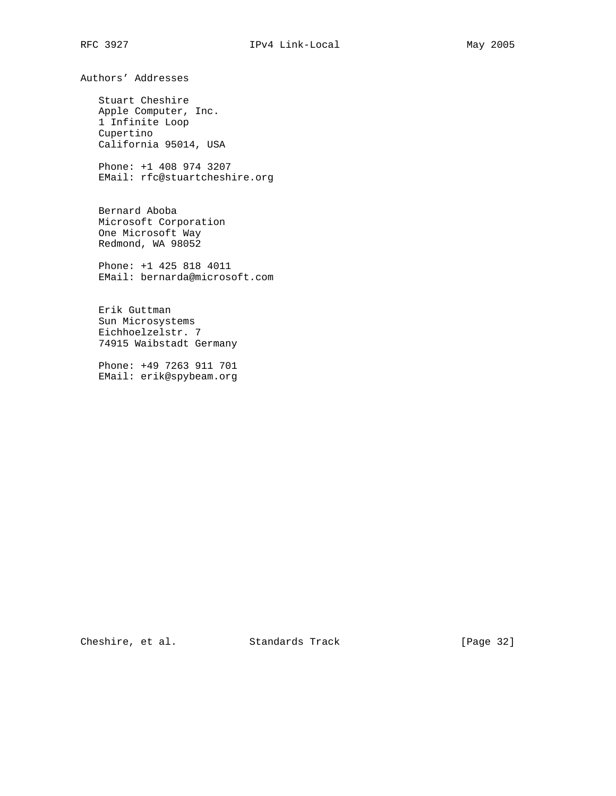Authors' Addresses

 Stuart Cheshire Apple Computer, Inc. 1 Infinite Loop Cupertino California 95014, USA

 Phone: +1 408 974 3207 EMail: rfc@stuartcheshire.org

 Bernard Aboba Microsoft Corporation One Microsoft Way Redmond, WA 98052

 Phone: +1 425 818 4011 EMail: bernarda@microsoft.com

 Erik Guttman Sun Microsystems Eichhoelzelstr. 7 74915 Waibstadt Germany

 Phone: +49 7263 911 701 EMail: erik@spybeam.org

Cheshire, et al. Standards Track [Page 32]